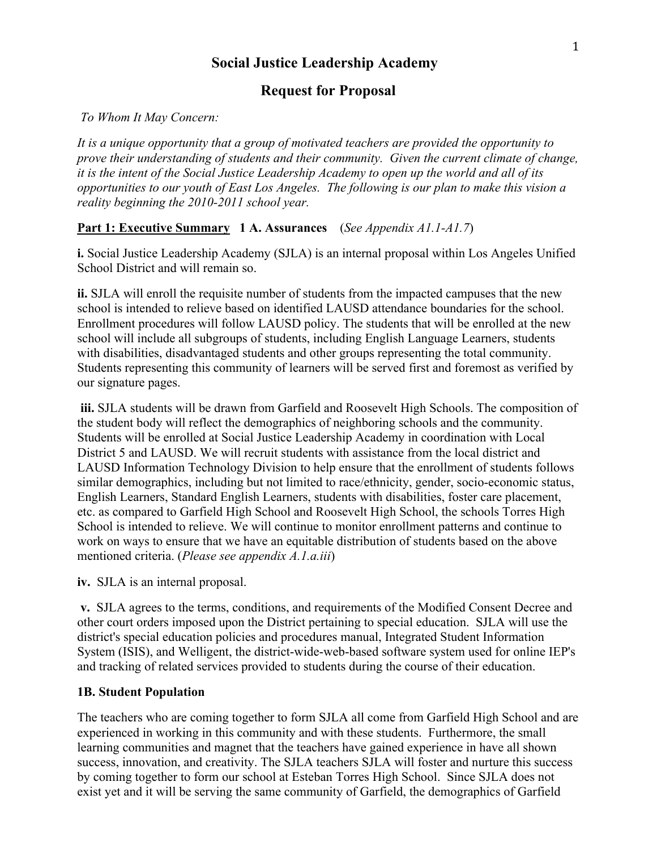# **Social Justice Leadership Academy**

# **Request for Proposal**

#### *To Whom It May Concern:*

*It is a unique opportunity that a group of motivated teachers are provided the opportunity to prove their understanding of students and their community. Given the current climate of change, it is the intent of the Social Justice Leadership Academy to open up the world and all of its opportunities to our youth of East Los Angeles. The following is our plan to make this vision a reality beginning the 2010-2011 school year.*

#### **Part 1: Executive Summary 1 A. Assurances** (*See Appendix A1.1-A1.7*)

**i.** Social Justice Leadership Academy (SJLA) is an internal proposal within Los Angeles Unified School District and will remain so.

**ii.** SJLA will enroll the requisite number of students from the impacted campuses that the new school is intended to relieve based on identified LAUSD attendance boundaries for the school. Enrollment procedures will follow LAUSD policy. The students that will be enrolled at the new school will include all subgroups of students, including English Language Learners, students with disabilities, disadvantaged students and other groups representing the total community. Students representing this community of learners will be served first and foremost as verified by our signature pages.

**iii.** SJLA students will be drawn from Garfield and Roosevelt High Schools. The composition of the student body will reflect the demographics of neighboring schools and the community. Students will be enrolled at Social Justice Leadership Academy in coordination with Local District 5 and LAUSD. We will recruit students with assistance from the local district and LAUSD Information Technology Division to help ensure that the enrollment of students follows similar demographics, including but not limited to race/ethnicity, gender, socio-economic status, English Learners, Standard English Learners, students with disabilities, foster care placement, etc. as compared to Garfield High School and Roosevelt High School, the schools Torres High School is intended to relieve. We will continue to monitor enrollment patterns and continue to work on ways to ensure that we have an equitable distribution of students based on the above mentioned criteria. (*Please see appendix A.1.a.iii*)

**iv.** SJLA is an internal proposal.

**v.** SJLA agrees to the terms, conditions, and requirements of the Modified Consent Decree and other court orders imposed upon the District pertaining to special education. SJLA will use the district's special education policies and procedures manual, Integrated Student Information System (ISIS), and Welligent, the district-wide-web-based software system used for online IEP's and tracking of related services provided to students during the course of their education.

#### **1B. Student Population**

The teachers who are coming together to form SJLA all come from Garfield High School and are experienced in working in this community and with these students. Furthermore, the small learning communities and magnet that the teachers have gained experience in have all shown success, innovation, and creativity. The SJLA teachers SJLA will foster and nurture this success by coming together to form our school at Esteban Torres High School. Since SJLA does not exist yet and it will be serving the same community of Garfield, the demographics of Garfield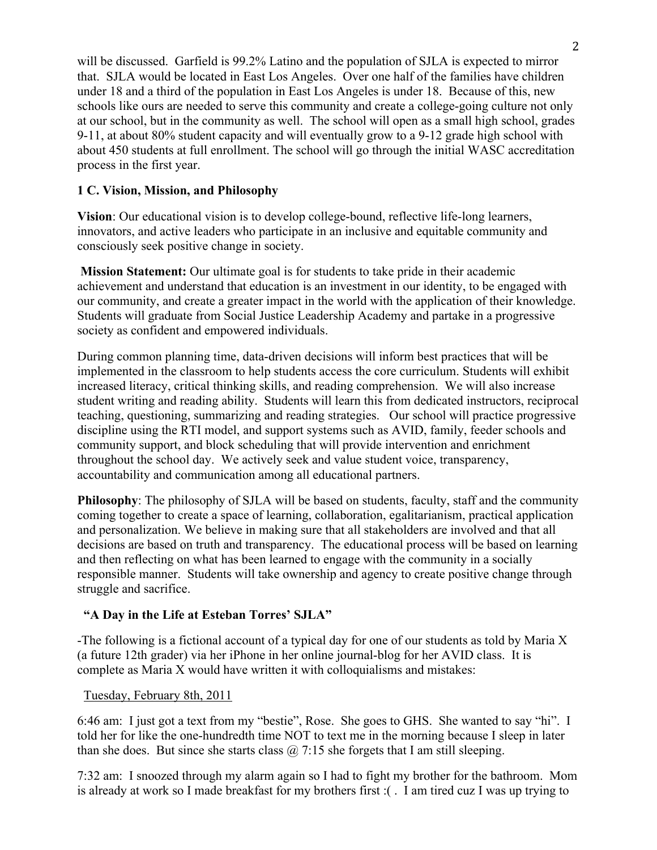will be discussed. Garfield is 99.2% Latino and the population of SJLA is expected to mirror that. SJLA would be located in East Los Angeles. Over one half of the families have children under 18 and a third of the population in East Los Angeles is under 18. Because of this, new schools like ours are needed to serve this community and create a college-going culture not only at our school, but in the community as well. The school will open as a small high school, grades 9-11, at about 80% student capacity and will eventually grow to a 9-12 grade high school with about 450 students at full enrollment. The school will go through the initial WASC accreditation process in the first year.

### **1 C. Vision, Mission, and Philosophy**

**Vision**: Our educational vision is to develop college-bound, reflective life-long learners, innovators, and active leaders who participate in an inclusive and equitable community and consciously seek positive change in society.

**Mission Statement:** Our ultimate goal is for students to take pride in their academic achievement and understand that education is an investment in our identity, to be engaged with our community, and create a greater impact in the world with the application of their knowledge. Students will graduate from Social Justice Leadership Academy and partake in a progressive society as confident and empowered individuals.

During common planning time, data-driven decisions will inform best practices that will be implemented in the classroom to help students access the core curriculum. Students will exhibit increased literacy, critical thinking skills, and reading comprehension. We will also increase student writing and reading ability. Students will learn this from dedicated instructors, reciprocal teaching, questioning, summarizing and reading strategies. Our school will practice progressive discipline using the RTI model, and support systems such as AVID, family, feeder schools and community support, and block scheduling that will provide intervention and enrichment throughout the school day. We actively seek and value student voice, transparency, accountability and communication among all educational partners.

**Philosophy**: The philosophy of SJLA will be based on students, faculty, staff and the community coming together to create a space of learning, collaboration, egalitarianism, practical application and personalization. We believe in making sure that all stakeholders are involved and that all decisions are based on truth and transparency. The educational process will be based on learning and then reflecting on what has been learned to engage with the community in a socially responsible manner. Students will take ownership and agency to create positive change through struggle and sacrifice.

#### **"A Day in the Life at Esteban Torres' SJLA"**

-The following is a fictional account of a typical day for one of our students as told by Maria X (a future 12th grader) via her iPhone in her online journal-blog for her AVID class. It is complete as Maria X would have written it with colloquialisms and mistakes:

#### Tuesday, February 8th, 2011

6:46 am: I just got a text from my "bestie", Rose. She goes to GHS. She wanted to say "hi". I told her for like the one-hundredth time NOT to text me in the morning because I sleep in later than she does. But since she starts class  $\omega$  7:15 she forgets that I am still sleeping.

7:32 am: I snoozed through my alarm again so I had to fight my brother for the bathroom. Mom is already at work so I made breakfast for my brothers first :( . I am tired cuz I was up trying to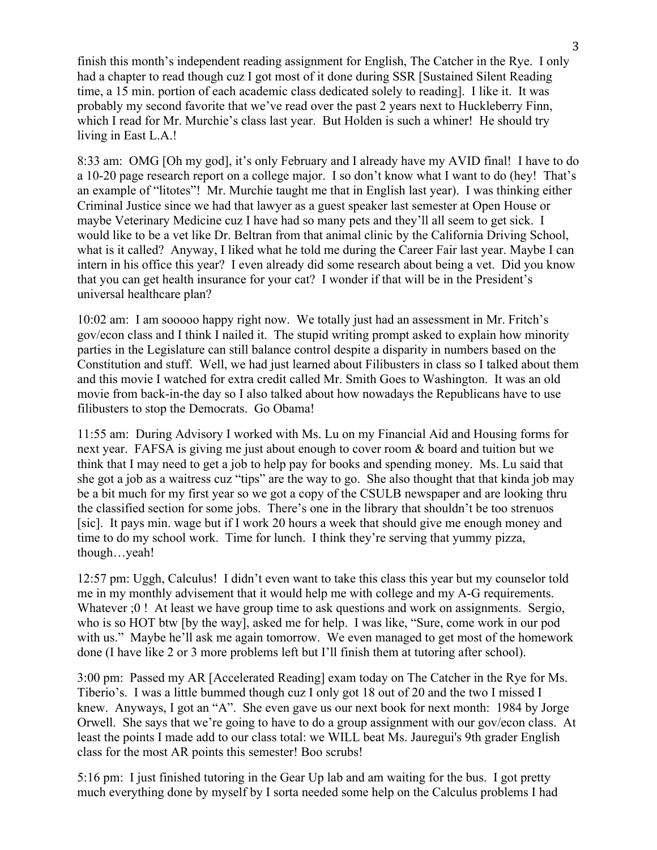finish this month's independent reading assignment for English, The Catcher in the Rye. I only had a chapter to read though cuz I got most of it done during SSR [Sustained Silent Reading time, a 15 min. portion of each academic class dedicated solely to reading]. I like it. It was probably my second favorite that we've read over the past 2 years next to Huckleberry Finn, which I read for Mr. Murchie's class last year. But Holden is such a whiner! He should try living in East L.A.!

8:33 am: OMG [Oh my god], it's only February and I already have my AVID final! I have to do a 10-20 page research report on a college major. I so don't know what I want to do (hey! That's an example of "litotes"! Mr. Murchie taught me that in English last year). I was thinking either Criminal Justice since we had that lawyer as a guest speaker last semester at Open House or maybe Veterinary Medicine cuz I have had so many pets and they'll all seem to get sick. I would like to be a vet like Dr. Beltran from that animal clinic by the California Driving School, what is it called? Anyway, I liked what he told me during the Career Fair last year. Maybe I can intern in his office this year? I even already did some research about being a vet. Did you know that you can get health insurance for your cat? I wonder if that will be in the President's universal healthcare plan?

10:02 am: I am sooooo happy right now. We totally just had an assessment in Mr. Fritch's gov/econ class and I think I nailed it. The stupid writing prompt asked to explain how minority parties in the Legislature can still balance control despite a disparity in numbers based on the Constitution and stuff. Well, we had just learned about Filibusters in class so I talked about them and this movie I watched for extra credit called Mr. Smith Goes to Washington. It was an old movie from back-in-the day so I also talked about how nowadays the Republicans have to use filibusters to stop the Democrats. Go Obama!

11:55 am: During Advisory I worked with Ms. Lu on my Financial Aid and Housing forms for next year. FAFSA is giving me just about enough to cover room & board and tuition but we think that I may need to get a job to help pay for books and spending money. Ms. Lu said that she got a job as a waitress cuz "tips" are the way to go. She also thought that that kinda job may be a bit much for my first year so we got a copy of the CSULB newspaper and are looking thru the classified section for some jobs. There's one in the library that shouldn't be too strenuos [sic]. It pays min. wage but if I work 20 hours a week that should give me enough money and time to do my school work. Time for lunch. I think they're serving that yummy pizza, though…yeah!

12:57 pm: Uggh, Calculus! I didn't even want to take this class this year but my counselor told me in my monthly advisement that it would help me with college and my A-G requirements. Whatever  $;0$ ! At least we have group time to ask questions and work on assignments. Sergio, who is so HOT btw [by the way], asked me for help. I was like, "Sure, come work in our pod with us." Maybe he'll ask me again tomorrow. We even managed to get most of the homework done (I have like 2 or 3 more problems left but I'll finish them at tutoring after school).

3:00 pm: Passed my AR [Accelerated Reading] exam today on The Catcher in the Rye for Ms. Tiberio's. I was a little bummed though cuz I only got 18 out of 20 and the two I missed I knew. Anyways, I got an "A". She even gave us our next book for next month: 1984 by Jorge Orwell. She says that we're going to have to do a group assignment with our gov/econ class. At least the points I made add to our class total: we WILL beat Ms. Jauregui's 9th grader English class for the most AR points this semester! Boo scrubs!

5:16 pm: I just finished tutoring in the Gear Up lab and am waiting for the bus. I got pretty much everything done by myself by I sorta needed some help on the Calculus problems I had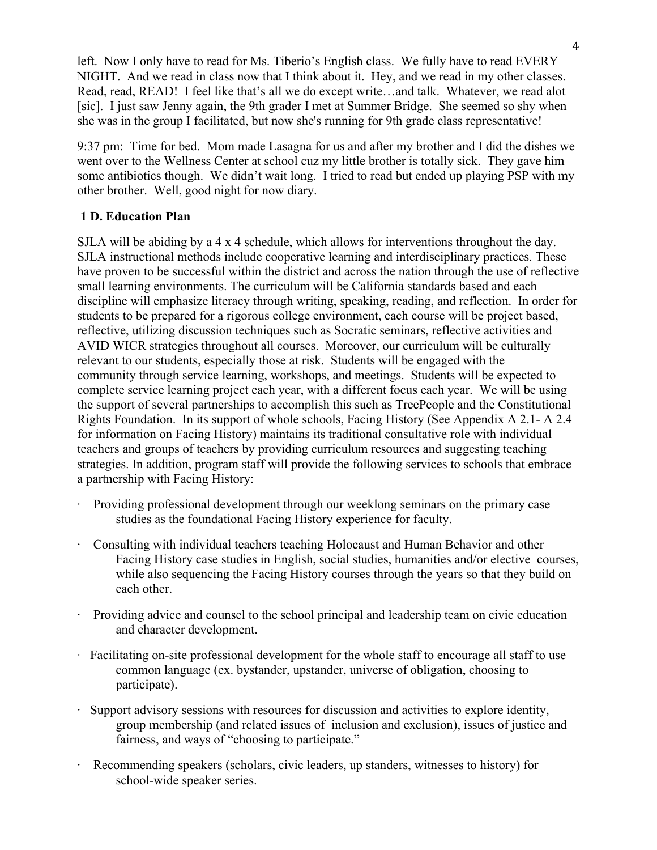left. Now I only have to read for Ms. Tiberio's English class. We fully have to read EVERY NIGHT. And we read in class now that I think about it. Hey, and we read in my other classes. Read, read, READ! I feel like that's all we do except write…and talk. Whatever, we read alot [sic]. I just saw Jenny again, the 9th grader I met at Summer Bridge. She seemed so shy when she was in the group I facilitated, but now she's running for 9th grade class representative!

9:37 pm: Time for bed. Mom made Lasagna for us and after my brother and I did the dishes we went over to the Wellness Center at school cuz my little brother is totally sick. They gave him some antibiotics though. We didn't wait long. I tried to read but ended up playing PSP with my other brother. Well, good night for now diary.

# **1 D. Education Plan**

SJLA will be abiding by a 4 x 4 schedule, which allows for interventions throughout the day. SJLA instructional methods include cooperative learning and interdisciplinary practices. These have proven to be successful within the district and across the nation through the use of reflective small learning environments. The curriculum will be California standards based and each discipline will emphasize literacy through writing, speaking, reading, and reflection. In order for students to be prepared for a rigorous college environment, each course will be project based, reflective, utilizing discussion techniques such as Socratic seminars, reflective activities and AVID WICR strategies throughout all courses. Moreover, our curriculum will be culturally relevant to our students, especially those at risk. Students will be engaged with the community through service learning, workshops, and meetings. Students will be expected to complete service learning project each year, with a different focus each year. We will be using the support of several partnerships to accomplish this such as TreePeople and the Constitutional Rights Foundation. In its support of whole schools, Facing History (See Appendix A 2.1- A 2.4 for information on Facing History) maintains its traditional consultative role with individual teachers and groups of teachers by providing curriculum resources and suggesting teaching strategies. In addition, program staff will provide the following services to schools that embrace a partnership with Facing History:

- · Providing professional development through our weeklong seminars on the primary case studies as the foundational Facing History experience for faculty.
- · Consulting with individual teachers teaching Holocaust and Human Behavior and other Facing History case studies in English, social studies, humanities and/or elective courses, while also sequencing the Facing History courses through the years so that they build on each other.
- · Providing advice and counsel to the school principal and leadership team on civic education and character development.
- · Facilitating on-site professional development for the whole staff to encourage all staff to use common language (ex. bystander, upstander, universe of obligation, choosing to participate).
- · Support advisory sessions with resources for discussion and activities to explore identity, group membership (and related issues of inclusion and exclusion), issues of justice and fairness, and ways of "choosing to participate."
- · Recommending speakers (scholars, civic leaders, up standers, witnesses to history) for school-wide speaker series.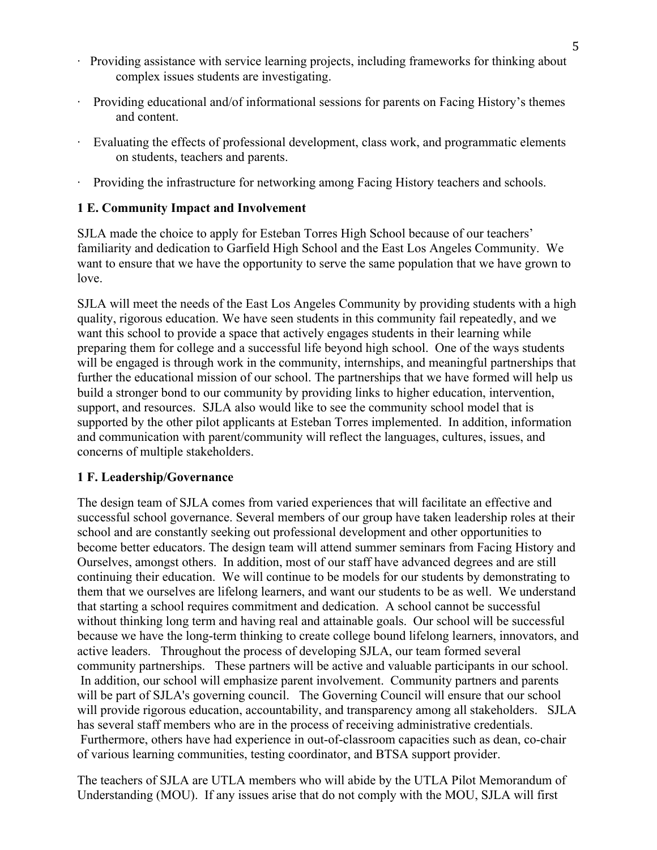- · Providing assistance with service learning projects, including frameworks for thinking about complex issues students are investigating.
- Providing educational and/of informational sessions for parents on Facing History's themes and content.
- Evaluating the effects of professional development, class work, and programmatic elements on students, teachers and parents.
- Providing the infrastructure for networking among Facing History teachers and schools.

### **1 E. Community Impact and Involvement**

SJLA made the choice to apply for Esteban Torres High School because of our teachers' familiarity and dedication to Garfield High School and the East Los Angeles Community. We want to ensure that we have the opportunity to serve the same population that we have grown to love.

SJLA will meet the needs of the East Los Angeles Community by providing students with a high quality, rigorous education. We have seen students in this community fail repeatedly, and we want this school to provide a space that actively engages students in their learning while preparing them for college and a successful life beyond high school. One of the ways students will be engaged is through work in the community, internships, and meaningful partnerships that further the educational mission of our school. The partnerships that we have formed will help us build a stronger bond to our community by providing links to higher education, intervention, support, and resources. SJLA also would like to see the community school model that is supported by the other pilot applicants at Esteban Torres implemented. In addition, information and communication with parent/community will reflect the languages, cultures, issues, and concerns of multiple stakeholders.

#### **1 F. Leadership/Governance**

The design team of SJLA comes from varied experiences that will facilitate an effective and successful school governance. Several members of our group have taken leadership roles at their school and are constantly seeking out professional development and other opportunities to become better educators. The design team will attend summer seminars from Facing History and Ourselves, amongst others. In addition, most of our staff have advanced degrees and are still continuing their education. We will continue to be models for our students by demonstrating to them that we ourselves are lifelong learners, and want our students to be as well. We understand that starting a school requires commitment and dedication. A school cannot be successful without thinking long term and having real and attainable goals. Our school will be successful because we have the long-term thinking to create college bound lifelong learners, innovators, and active leaders. Throughout the process of developing SJLA, our team formed several community partnerships. These partners will be active and valuable participants in our school. In addition, our school will emphasize parent involvement. Community partners and parents will be part of SJLA's governing council. The Governing Council will ensure that our school will provide rigorous education, accountability, and transparency among all stakeholders. SJLA has several staff members who are in the process of receiving administrative credentials. Furthermore, others have had experience in out-of-classroom capacities such as dean, co-chair of various learning communities, testing coordinator, and BTSA support provider.

The teachers of SJLA are UTLA members who will abide by the UTLA Pilot Memorandum of Understanding (MOU). If any issues arise that do not comply with the MOU, SJLA will first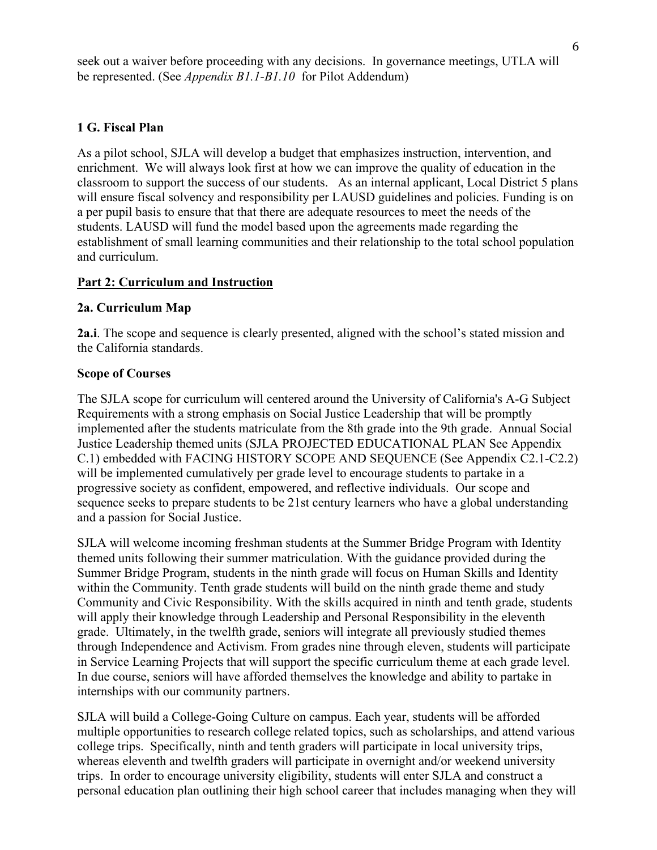seek out a waiver before proceeding with any decisions. In governance meetings, UTLA will be represented. (See *Appendix B1.1-B1.10* for Pilot Addendum)

#### **1 G. Fiscal Plan**

As a pilot school, SJLA will develop a budget that emphasizes instruction, intervention, and enrichment. We will always look first at how we can improve the quality of education in the classroom to support the success of our students. As an internal applicant, Local District 5 plans will ensure fiscal solvency and responsibility per LAUSD guidelines and policies. Funding is on a per pupil basis to ensure that that there are adequate resources to meet the needs of the students. LAUSD will fund the model based upon the agreements made regarding the establishment of small learning communities and their relationship to the total school population and curriculum.

#### **Part 2: Curriculum and Instruction**

#### **2a. Curriculum Map**

**2a.i**. The scope and sequence is clearly presented, aligned with the school's stated mission and the California standards.

#### **Scope of Courses**

The SJLA scope for curriculum will centered around the University of California's A-G Subject Requirements with a strong emphasis on Social Justice Leadership that will be promptly implemented after the students matriculate from the 8th grade into the 9th grade. Annual Social Justice Leadership themed units (SJLA PROJECTED EDUCATIONAL PLAN See Appendix C.1) embedded with FACING HISTORY SCOPE AND SEQUENCE (See Appendix C2.1-C2.2) will be implemented cumulatively per grade level to encourage students to partake in a progressive society as confident, empowered, and reflective individuals. Our scope and sequence seeks to prepare students to be 21st century learners who have a global understanding and a passion for Social Justice.

SJLA will welcome incoming freshman students at the Summer Bridge Program with Identity themed units following their summer matriculation. With the guidance provided during the Summer Bridge Program, students in the ninth grade will focus on Human Skills and Identity within the Community. Tenth grade students will build on the ninth grade theme and study Community and Civic Responsibility. With the skills acquired in ninth and tenth grade, students will apply their knowledge through Leadership and Personal Responsibility in the eleventh grade. Ultimately, in the twelfth grade, seniors will integrate all previously studied themes through Independence and Activism. From grades nine through eleven, students will participate in Service Learning Projects that will support the specific curriculum theme at each grade level. In due course, seniors will have afforded themselves the knowledge and ability to partake in internships with our community partners.

SJLA will build a College-Going Culture on campus. Each year, students will be afforded multiple opportunities to research college related topics, such as scholarships, and attend various college trips. Specifically, ninth and tenth graders will participate in local university trips, whereas eleventh and twelfth graders will participate in overnight and/or weekend university trips. In order to encourage university eligibility, students will enter SJLA and construct a personal education plan outlining their high school career that includes managing when they will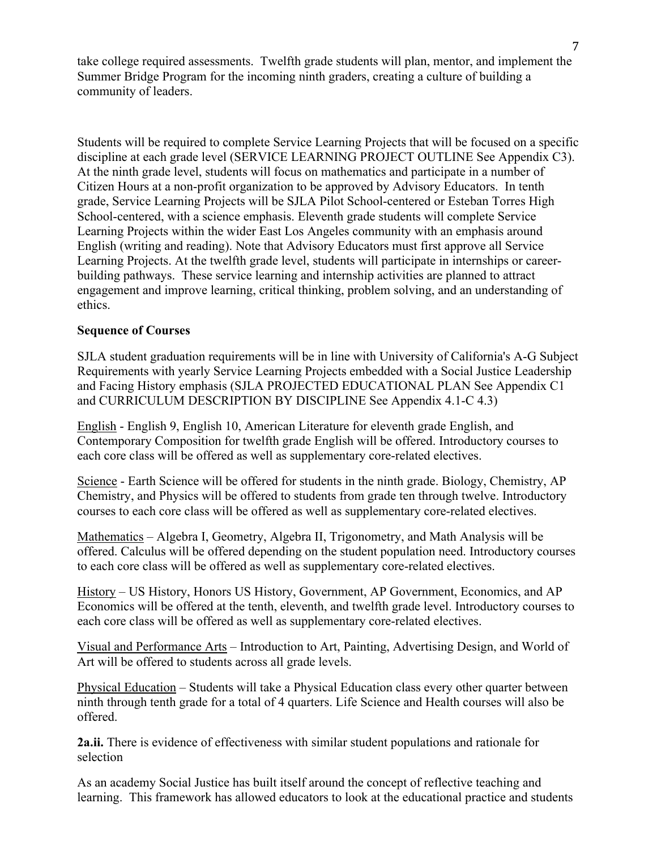take college required assessments. Twelfth grade students will plan, mentor, and implement the Summer Bridge Program for the incoming ninth graders, creating a culture of building a community of leaders.

Students will be required to complete Service Learning Projects that will be focused on a specific discipline at each grade level (SERVICE LEARNING PROJECT OUTLINE See Appendix C3). At the ninth grade level, students will focus on mathematics and participate in a number of Citizen Hours at a non-profit organization to be approved by Advisory Educators. In tenth grade, Service Learning Projects will be SJLA Pilot School-centered or Esteban Torres High School-centered, with a science emphasis. Eleventh grade students will complete Service Learning Projects within the wider East Los Angeles community with an emphasis around English (writing and reading). Note that Advisory Educators must first approve all Service Learning Projects. At the twelfth grade level, students will participate in internships or careerbuilding pathways. These service learning and internship activities are planned to attract engagement and improve learning, critical thinking, problem solving, and an understanding of ethics.

#### **Sequence of Courses**

SJLA student graduation requirements will be in line with University of California's A-G Subject Requirements with yearly Service Learning Projects embedded with a Social Justice Leadership and Facing History emphasis (SJLA PROJECTED EDUCATIONAL PLAN See Appendix C1 and CURRICULUM DESCRIPTION BY DISCIPLINE See Appendix 4.1-C 4.3)

English - English 9, English 10, American Literature for eleventh grade English, and Contemporary Composition for twelfth grade English will be offered. Introductory courses to each core class will be offered as well as supplementary core-related electives.

Science - Earth Science will be offered for students in the ninth grade. Biology, Chemistry, AP Chemistry, and Physics will be offered to students from grade ten through twelve. Introductory courses to each core class will be offered as well as supplementary core-related electives.

Mathematics – Algebra I, Geometry, Algebra II, Trigonometry, and Math Analysis will be offered. Calculus will be offered depending on the student population need. Introductory courses to each core class will be offered as well as supplementary core-related electives.

History – US History, Honors US History, Government, AP Government, Economics, and AP Economics will be offered at the tenth, eleventh, and twelfth grade level. Introductory courses to each core class will be offered as well as supplementary core-related electives.

Visual and Performance Arts – Introduction to Art, Painting, Advertising Design, and World of Art will be offered to students across all grade levels.

Physical Education – Students will take a Physical Education class every other quarter between ninth through tenth grade for a total of 4 quarters. Life Science and Health courses will also be offered.

**2a.ii.** There is evidence of effectiveness with similar student populations and rationale for selection

As an academy Social Justice has built itself around the concept of reflective teaching and learning. This framework has allowed educators to look at the educational practice and students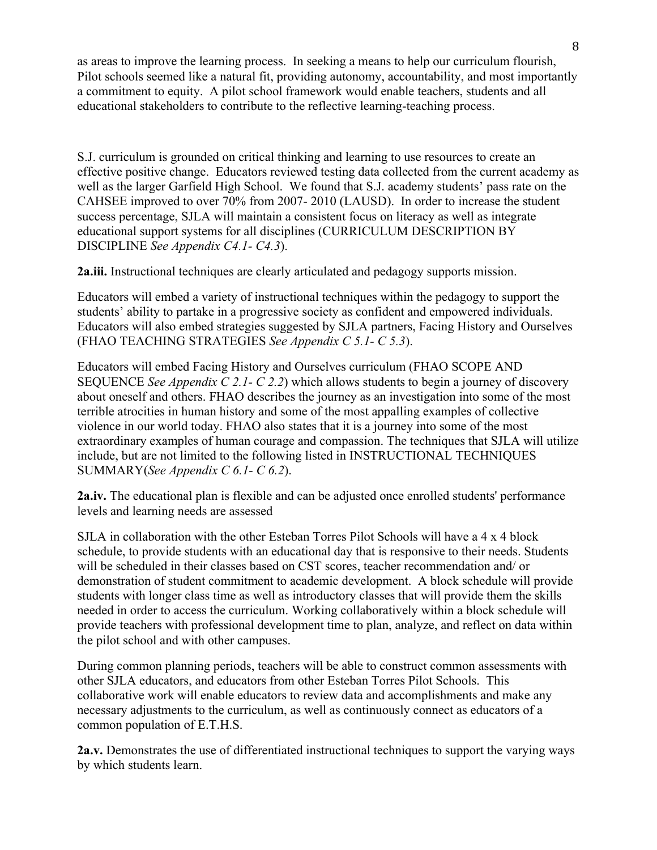as areas to improve the learning process. In seeking a means to help our curriculum flourish, Pilot schools seemed like a natural fit, providing autonomy, accountability, and most importantly a commitment to equity. A pilot school framework would enable teachers, students and all educational stakeholders to contribute to the reflective learning-teaching process.

S.J. curriculum is grounded on critical thinking and learning to use resources to create an effective positive change. Educators reviewed testing data collected from the current academy as well as the larger Garfield High School. We found that S.J. academy students' pass rate on the CAHSEE improved to over 70% from 2007- 2010 (LAUSD). In order to increase the student success percentage, SJLA will maintain a consistent focus on literacy as well as integrate educational support systems for all disciplines (CURRICULUM DESCRIPTION BY DISCIPLINE *See Appendix C4.1- C4.3*).

**2a.iii.** Instructional techniques are clearly articulated and pedagogy supports mission.

Educators will embed a variety of instructional techniques within the pedagogy to support the students' ability to partake in a progressive society as confident and empowered individuals. Educators will also embed strategies suggested by SJLA partners, Facing History and Ourselves (FHAO TEACHING STRATEGIES *See Appendix C 5.1- C 5.3*).

Educators will embed Facing History and Ourselves curriculum (FHAO SCOPE AND SEQUENCE *See Appendix C 2.1- C 2.2*) which allows students to begin a journey of discovery about oneself and others. FHAO describes the journey as an investigation into some of the most terrible atrocities in human history and some of the most appalling examples of collective violence in our world today. FHAO also states that it is a journey into some of the most extraordinary examples of human courage and compassion. The techniques that SJLA will utilize include, but are not limited to the following listed in INSTRUCTIONAL TECHNIQUES SUMMARY(*See Appendix C 6.1- C 6.2*).

**2a.iv.** The educational plan is flexible and can be adjusted once enrolled students' performance levels and learning needs are assessed

SJLA in collaboration with the other Esteban Torres Pilot Schools will have a 4 x 4 block schedule, to provide students with an educational day that is responsive to their needs. Students will be scheduled in their classes based on CST scores, teacher recommendation and/ or demonstration of student commitment to academic development. A block schedule will provide students with longer class time as well as introductory classes that will provide them the skills needed in order to access the curriculum. Working collaboratively within a block schedule will provide teachers with professional development time to plan, analyze, and reflect on data within the pilot school and with other campuses.

During common planning periods, teachers will be able to construct common assessments with other SJLA educators, and educators from other Esteban Torres Pilot Schools. This collaborative work will enable educators to review data and accomplishments and make any necessary adjustments to the curriculum, as well as continuously connect as educators of a common population of E.T.H.S.

**2a.v.** Demonstrates the use of differentiated instructional techniques to support the varying ways by which students learn.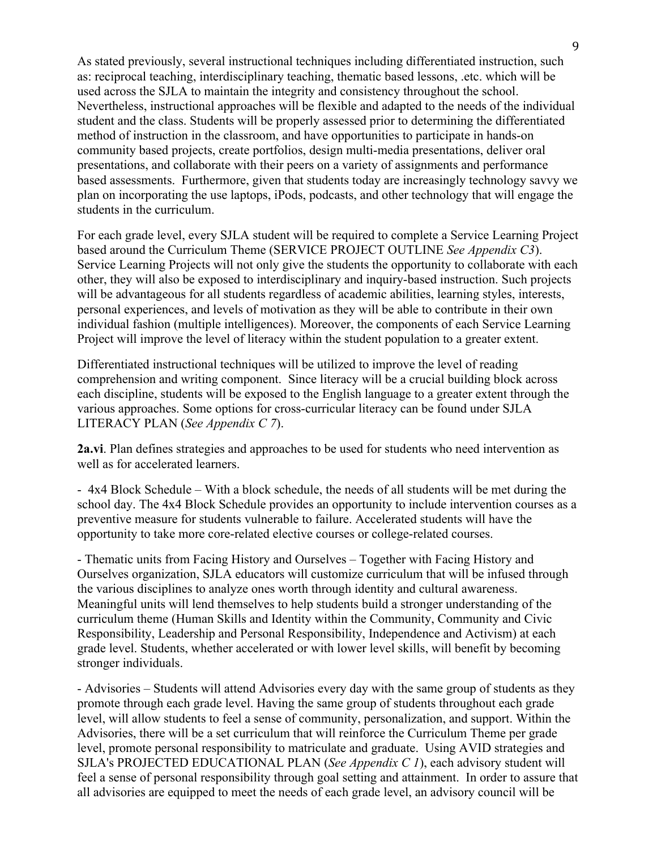As stated previously, several instructional techniques including differentiated instruction, such as: reciprocal teaching, interdisciplinary teaching, thematic based lessons, .etc. which will be used across the SJLA to maintain the integrity and consistency throughout the school. Nevertheless, instructional approaches will be flexible and adapted to the needs of the individual student and the class. Students will be properly assessed prior to determining the differentiated method of instruction in the classroom, and have opportunities to participate in hands-on community based projects, create portfolios, design multi-media presentations, deliver oral presentations, and collaborate with their peers on a variety of assignments and performance based assessments. Furthermore, given that students today are increasingly technology savvy we plan on incorporating the use laptops, iPods, podcasts, and other technology that will engage the students in the curriculum.

For each grade level, every SJLA student will be required to complete a Service Learning Project based around the Curriculum Theme (SERVICE PROJECT OUTLINE *See Appendix C3*). Service Learning Projects will not only give the students the opportunity to collaborate with each other, they will also be exposed to interdisciplinary and inquiry-based instruction. Such projects will be advantageous for all students regardless of academic abilities, learning styles, interests, personal experiences, and levels of motivation as they will be able to contribute in their own individual fashion (multiple intelligences). Moreover, the components of each Service Learning Project will improve the level of literacy within the student population to a greater extent.

Differentiated instructional techniques will be utilized to improve the level of reading comprehension and writing component. Since literacy will be a crucial building block across each discipline, students will be exposed to the English language to a greater extent through the various approaches. Some options for cross-curricular literacy can be found under SJLA LITERACY PLAN (*See Appendix C 7*).

**2a.vi**. Plan defines strategies and approaches to be used for students who need intervention as well as for accelerated learners.

- 4x4 Block Schedule – With a block schedule, the needs of all students will be met during the school day. The 4x4 Block Schedule provides an opportunity to include intervention courses as a preventive measure for students vulnerable to failure. Accelerated students will have the opportunity to take more core-related elective courses or college-related courses.

- Thematic units from Facing History and Ourselves – Together with Facing History and Ourselves organization, SJLA educators will customize curriculum that will be infused through the various disciplines to analyze ones worth through identity and cultural awareness. Meaningful units will lend themselves to help students build a stronger understanding of the curriculum theme (Human Skills and Identity within the Community, Community and Civic Responsibility, Leadership and Personal Responsibility, Independence and Activism) at each grade level. Students, whether accelerated or with lower level skills, will benefit by becoming stronger individuals.

- Advisories – Students will attend Advisories every day with the same group of students as they promote through each grade level. Having the same group of students throughout each grade level, will allow students to feel a sense of community, personalization, and support. Within the Advisories, there will be a set curriculum that will reinforce the Curriculum Theme per grade level, promote personal responsibility to matriculate and graduate. Using AVID strategies and SJLA's PROJECTED EDUCATIONAL PLAN (*See Appendix C 1*), each advisory student will feel a sense of personal responsibility through goal setting and attainment. In order to assure that all advisories are equipped to meet the needs of each grade level, an advisory council will be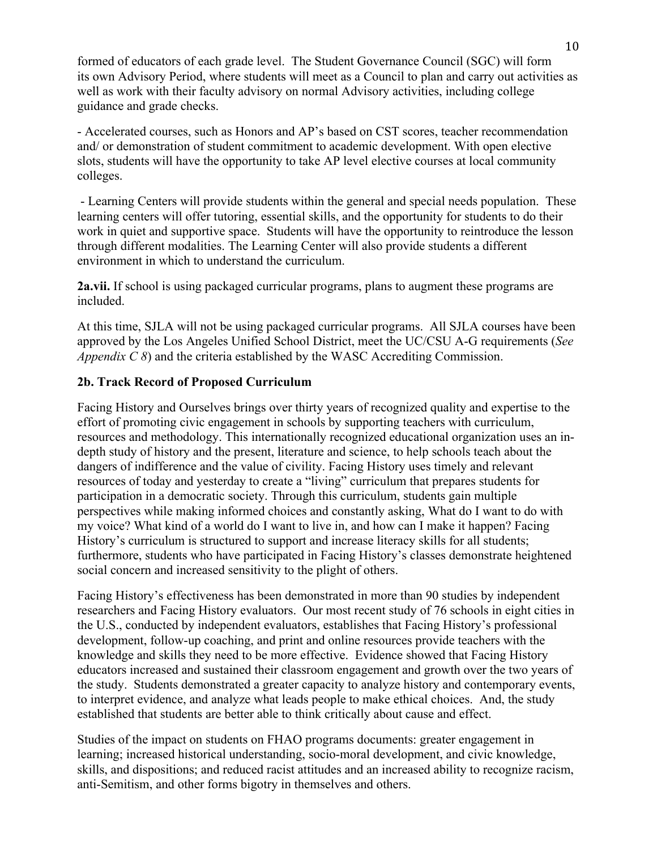formed of educators of each grade level. The Student Governance Council (SGC) will form its own Advisory Period, where students will meet as a Council to plan and carry out activities as well as work with their faculty advisory on normal Advisory activities, including college guidance and grade checks.

- Accelerated courses, such as Honors and AP's based on CST scores, teacher recommendation and/ or demonstration of student commitment to academic development. With open elective slots, students will have the opportunity to take AP level elective courses at local community colleges.

- Learning Centers will provide students within the general and special needs population. These learning centers will offer tutoring, essential skills, and the opportunity for students to do their work in quiet and supportive space. Students will have the opportunity to reintroduce the lesson through different modalities. The Learning Center will also provide students a different environment in which to understand the curriculum.

**2a.vii.** If school is using packaged curricular programs, plans to augment these programs are included.

At this time, SJLA will not be using packaged curricular programs. All SJLA courses have been approved by the Los Angeles Unified School District, meet the UC/CSU A-G requirements (*See Appendix C 8*) and the criteria established by the WASC Accrediting Commission.

### **2b. Track Record of Proposed Curriculum**

Facing History and Ourselves brings over thirty years of recognized quality and expertise to the effort of promoting civic engagement in schools by supporting teachers with curriculum, resources and methodology. This internationally recognized educational organization uses an indepth study of history and the present, literature and science, to help schools teach about the dangers of indifference and the value of civility. Facing History uses timely and relevant resources of today and yesterday to create a "living" curriculum that prepares students for participation in a democratic society. Through this curriculum, students gain multiple perspectives while making informed choices and constantly asking, What do I want to do with my voice? What kind of a world do I want to live in, and how can I make it happen? Facing History's curriculum is structured to support and increase literacy skills for all students; furthermore, students who have participated in Facing History's classes demonstrate heightened social concern and increased sensitivity to the plight of others.

Facing History's effectiveness has been demonstrated in more than 90 studies by independent researchers and Facing History evaluators. Our most recent study of 76 schools in eight cities in the U.S., conducted by independent evaluators, establishes that Facing History's professional development, follow-up coaching, and print and online resources provide teachers with the knowledge and skills they need to be more effective. Evidence showed that Facing History educators increased and sustained their classroom engagement and growth over the two years of the study. Students demonstrated a greater capacity to analyze history and contemporary events, to interpret evidence, and analyze what leads people to make ethical choices. And, the study established that students are better able to think critically about cause and effect.

Studies of the impact on students on FHAO programs documents: greater engagement in learning; increased historical understanding, socio-moral development, and civic knowledge, skills, and dispositions; and reduced racist attitudes and an increased ability to recognize racism, anti-Semitism, and other forms bigotry in themselves and others.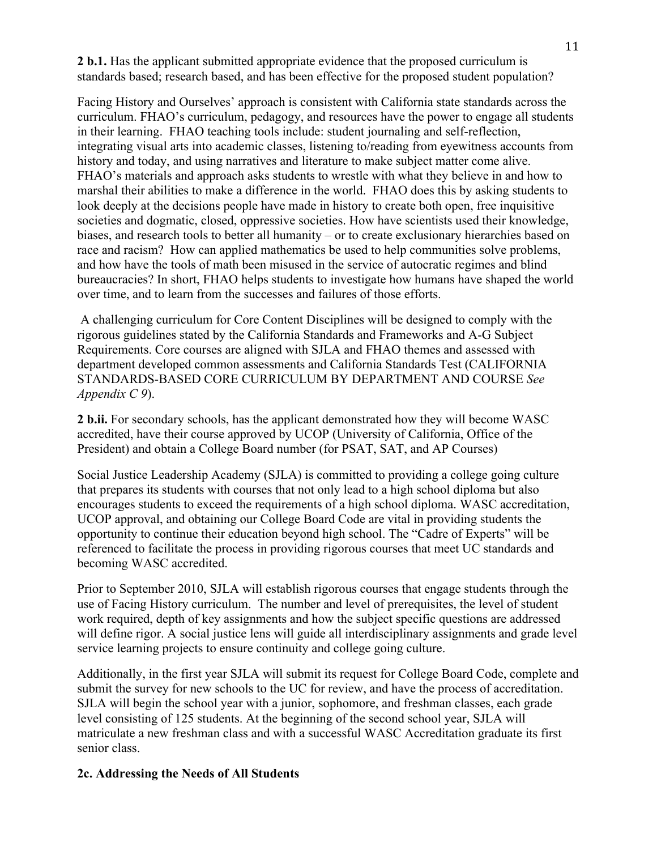**2 b.1.** Has the applicant submitted appropriate evidence that the proposed curriculum is standards based; research based, and has been effective for the proposed student population?

Facing History and Ourselves' approach is consistent with California state standards across the curriculum. FHAO's curriculum, pedagogy, and resources have the power to engage all students in their learning. FHAO teaching tools include: student journaling and self-reflection, integrating visual arts into academic classes, listening to/reading from eyewitness accounts from history and today, and using narratives and literature to make subject matter come alive. FHAO's materials and approach asks students to wrestle with what they believe in and how to marshal their abilities to make a difference in the world. FHAO does this by asking students to look deeply at the decisions people have made in history to create both open, free inquisitive societies and dogmatic, closed, oppressive societies. How have scientists used their knowledge, biases, and research tools to better all humanity – or to create exclusionary hierarchies based on race and racism? How can applied mathematics be used to help communities solve problems, and how have the tools of math been misused in the service of autocratic regimes and blind bureaucracies? In short, FHAO helps students to investigate how humans have shaped the world over time, and to learn from the successes and failures of those efforts.

A challenging curriculum for Core Content Disciplines will be designed to comply with the rigorous guidelines stated by the California Standards and Frameworks and A-G Subject Requirements. Core courses are aligned with SJLA and FHAO themes and assessed with department developed common assessments and California Standards Test (CALIFORNIA STANDARDS-BASED CORE CURRICULUM BY DEPARTMENT AND COURSE *See Appendix C 9*).

**2 b.ii.** For secondary schools, has the applicant demonstrated how they will become WASC accredited, have their course approved by UCOP (University of California, Office of the President) and obtain a College Board number (for PSAT, SAT, and AP Courses)

Social Justice Leadership Academy (SJLA) is committed to providing a college going culture that prepares its students with courses that not only lead to a high school diploma but also encourages students to exceed the requirements of a high school diploma. WASC accreditation, UCOP approval, and obtaining our College Board Code are vital in providing students the opportunity to continue their education beyond high school. The "Cadre of Experts" will be referenced to facilitate the process in providing rigorous courses that meet UC standards and becoming WASC accredited.

Prior to September 2010, SJLA will establish rigorous courses that engage students through the use of Facing History curriculum. The number and level of prerequisites, the level of student work required, depth of key assignments and how the subject specific questions are addressed will define rigor. A social justice lens will guide all interdisciplinary assignments and grade level service learning projects to ensure continuity and college going culture.

Additionally, in the first year SJLA will submit its request for College Board Code, complete and submit the survey for new schools to the UC for review, and have the process of accreditation. SJLA will begin the school year with a junior, sophomore, and freshman classes, each grade level consisting of 125 students. At the beginning of the second school year, SJLA will matriculate a new freshman class and with a successful WASC Accreditation graduate its first senior class.

#### **2c. Addressing the Needs of All Students**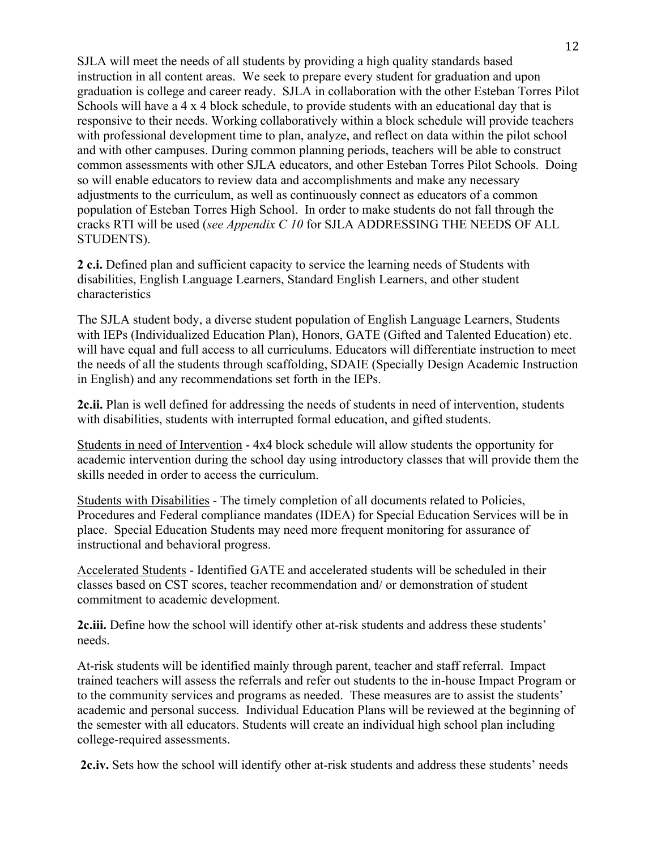SJLA will meet the needs of all students by providing a high quality standards based instruction in all content areas. We seek to prepare every student for graduation and upon graduation is college and career ready. SJLA in collaboration with the other Esteban Torres Pilot Schools will have a 4 x 4 block schedule, to provide students with an educational day that is responsive to their needs. Working collaboratively within a block schedule will provide teachers with professional development time to plan, analyze, and reflect on data within the pilot school and with other campuses. During common planning periods, teachers will be able to construct common assessments with other SJLA educators, and other Esteban Torres Pilot Schools. Doing so will enable educators to review data and accomplishments and make any necessary adjustments to the curriculum, as well as continuously connect as educators of a common population of Esteban Torres High School. In order to make students do not fall through the cracks RTI will be used (*see Appendix C 10* for SJLA ADDRESSING THE NEEDS OF ALL STUDENTS).

**2 c.i.** Defined plan and sufficient capacity to service the learning needs of Students with disabilities, English Language Learners, Standard English Learners, and other student characteristics

The SJLA student body, a diverse student population of English Language Learners, Students with IEPs (Individualized Education Plan), Honors, GATE (Gifted and Talented Education) etc. will have equal and full access to all curriculums. Educators will differentiate instruction to meet the needs of all the students through scaffolding, SDAIE (Specially Design Academic Instruction in English) and any recommendations set forth in the IEPs.

**2c.ii.** Plan is well defined for addressing the needs of students in need of intervention, students with disabilities, students with interrupted formal education, and gifted students.

Students in need of Intervention - 4x4 block schedule will allow students the opportunity for academic intervention during the school day using introductory classes that will provide them the skills needed in order to access the curriculum.

Students with Disabilities - The timely completion of all documents related to Policies, Procedures and Federal compliance mandates (IDEA) for Special Education Services will be in place. Special Education Students may need more frequent monitoring for assurance of instructional and behavioral progress.

Accelerated Students - Identified GATE and accelerated students will be scheduled in their classes based on CST scores, teacher recommendation and/ or demonstration of student commitment to academic development.

**2c.iii.** Define how the school will identify other at-risk students and address these students' needs.

At-risk students will be identified mainly through parent, teacher and staff referral. Impact trained teachers will assess the referrals and refer out students to the in-house Impact Program or to the community services and programs as needed. These measures are to assist the students' academic and personal success. Individual Education Plans will be reviewed at the beginning of the semester with all educators. Students will create an individual high school plan including college-required assessments.

**2c.iv.** Sets how the school will identify other at-risk students and address these students' needs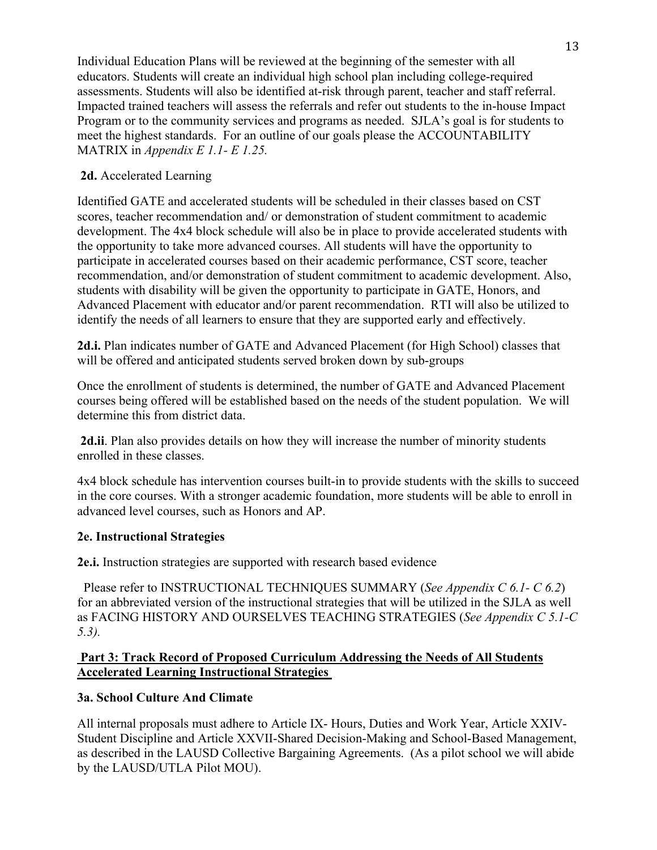Individual Education Plans will be reviewed at the beginning of the semester with all educators. Students will create an individual high school plan including college-required assessments. Students will also be identified at-risk through parent, teacher and staff referral. Impacted trained teachers will assess the referrals and refer out students to the in-house Impact Program or to the community services and programs as needed. SJLA's goal is for students to meet the highest standards. For an outline of our goals please the ACCOUNTABILITY MATRIX in *Appendix E 1.1- E 1.25.*

# **2d.** Accelerated Learning

Identified GATE and accelerated students will be scheduled in their classes based on CST scores, teacher recommendation and/ or demonstration of student commitment to academic development. The 4x4 block schedule will also be in place to provide accelerated students with the opportunity to take more advanced courses. All students will have the opportunity to participate in accelerated courses based on their academic performance, CST score, teacher recommendation, and/or demonstration of student commitment to academic development. Also, students with disability will be given the opportunity to participate in GATE, Honors, and Advanced Placement with educator and/or parent recommendation. RTI will also be utilized to identify the needs of all learners to ensure that they are supported early and effectively.

**2d.i.** Plan indicates number of GATE and Advanced Placement (for High School) classes that will be offered and anticipated students served broken down by sub-groups

Once the enrollment of students is determined, the number of GATE and Advanced Placement courses being offered will be established based on the needs of the student population. We will determine this from district data.

**2d.ii**. Plan also provides details on how they will increase the number of minority students enrolled in these classes.

4x4 block schedule has intervention courses built-in to provide students with the skills to succeed in the core courses. With a stronger academic foundation, more students will be able to enroll in advanced level courses, such as Honors and AP.

# **2e. Instructional Strategies**

**2e.i.** Instruction strategies are supported with research based evidence

 Please refer to INSTRUCTIONAL TECHNIQUES SUMMARY (*See Appendix C 6.1- C 6.2*) for an abbreviated version of the instructional strategies that will be utilized in the SJLA as well as FACING HISTORY AND OURSELVES TEACHING STRATEGIES (*See Appendix C 5.1-C 5.3).*

# **Part 3: Track Record of Proposed Curriculum Addressing the Needs of All Students Accelerated Learning Instructional Strategies**

# **3a. School Culture And Climate**

All internal proposals must adhere to Article IX- Hours, Duties and Work Year, Article XXIV-Student Discipline and Article XXVII-Shared Decision-Making and School-Based Management, as described in the LAUSD Collective Bargaining Agreements. (As a pilot school we will abide by the LAUSD/UTLA Pilot MOU).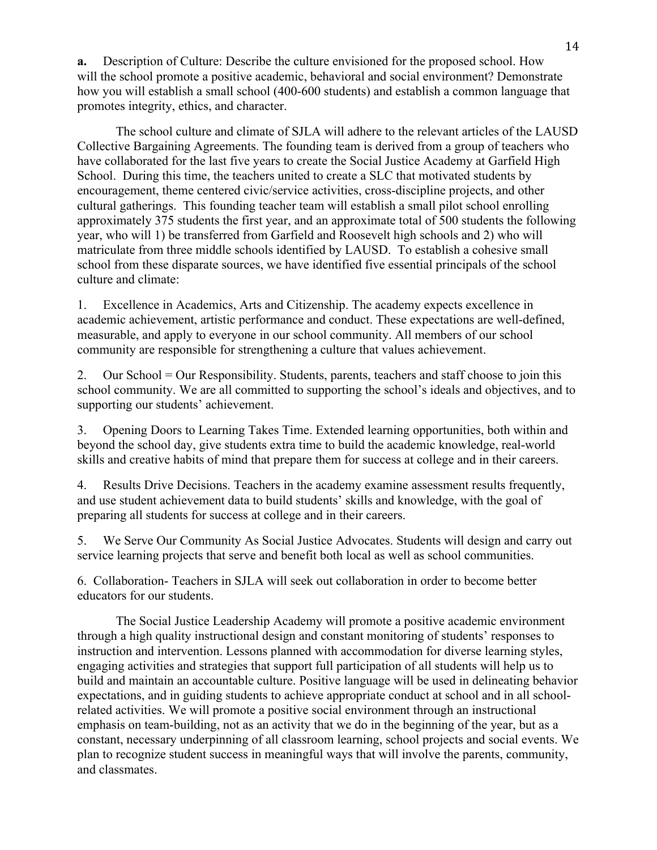**a.** Description of Culture: Describe the culture envisioned for the proposed school. How will the school promote a positive academic, behavioral and social environment? Demonstrate how you will establish a small school (400-600 students) and establish a common language that promotes integrity, ethics, and character.

The school culture and climate of SJLA will adhere to the relevant articles of the LAUSD Collective Bargaining Agreements. The founding team is derived from a group of teachers who have collaborated for the last five years to create the Social Justice Academy at Garfield High School. During this time, the teachers united to create a SLC that motivated students by encouragement, theme centered civic/service activities, cross-discipline projects, and other cultural gatherings. This founding teacher team will establish a small pilot school enrolling approximately 375 students the first year, and an approximate total of 500 students the following year, who will 1) be transferred from Garfield and Roosevelt high schools and 2) who will matriculate from three middle schools identified by LAUSD. To establish a cohesive small school from these disparate sources, we have identified five essential principals of the school culture and climate:

1. Excellence in Academics, Arts and Citizenship. The academy expects excellence in academic achievement, artistic performance and conduct. These expectations are well-defined, measurable, and apply to everyone in our school community. All members of our school community are responsible for strengthening a culture that values achievement.

2. Our School = Our Responsibility. Students, parents, teachers and staff choose to join this school community. We are all committed to supporting the school's ideals and objectives, and to supporting our students' achievement.

3. Opening Doors to Learning Takes Time. Extended learning opportunities, both within and beyond the school day, give students extra time to build the academic knowledge, real-world skills and creative habits of mind that prepare them for success at college and in their careers.

4. Results Drive Decisions. Teachers in the academy examine assessment results frequently, and use student achievement data to build students' skills and knowledge, with the goal of preparing all students for success at college and in their careers.

5. We Serve Our Community As Social Justice Advocates. Students will design and carry out service learning projects that serve and benefit both local as well as school communities.

6. Collaboration- Teachers in SJLA will seek out collaboration in order to become better educators for our students.

The Social Justice Leadership Academy will promote a positive academic environment through a high quality instructional design and constant monitoring of students' responses to instruction and intervention. Lessons planned with accommodation for diverse learning styles, engaging activities and strategies that support full participation of all students will help us to build and maintain an accountable culture. Positive language will be used in delineating behavior expectations, and in guiding students to achieve appropriate conduct at school and in all schoolrelated activities. We will promote a positive social environment through an instructional emphasis on team-building, not as an activity that we do in the beginning of the year, but as a constant, necessary underpinning of all classroom learning, school projects and social events. We plan to recognize student success in meaningful ways that will involve the parents, community, and classmates.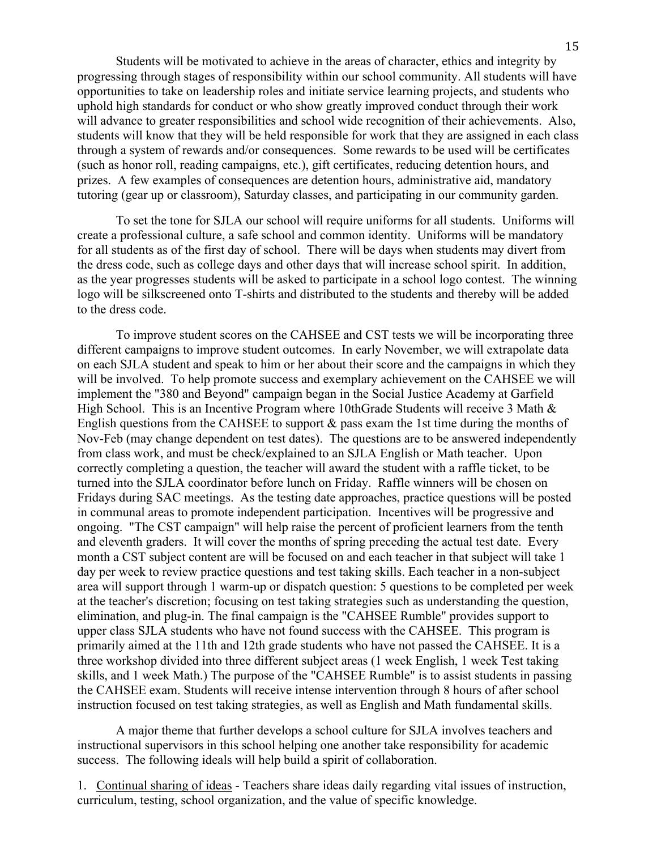Students will be motivated to achieve in the areas of character, ethics and integrity by progressing through stages of responsibility within our school community. All students will have opportunities to take on leadership roles and initiate service learning projects, and students who uphold high standards for conduct or who show greatly improved conduct through their work will advance to greater responsibilities and school wide recognition of their achievements. Also, students will know that they will be held responsible for work that they are assigned in each class through a system of rewards and/or consequences. Some rewards to be used will be certificates (such as honor roll, reading campaigns, etc.), gift certificates, reducing detention hours, and prizes. A few examples of consequences are detention hours, administrative aid, mandatory tutoring (gear up or classroom), Saturday classes, and participating in our community garden.

To set the tone for SJLA our school will require uniforms for all students. Uniforms will create a professional culture, a safe school and common identity. Uniforms will be mandatory for all students as of the first day of school. There will be days when students may divert from the dress code, such as college days and other days that will increase school spirit. In addition, as the year progresses students will be asked to participate in a school logo contest. The winning logo will be silkscreened onto T-shirts and distributed to the students and thereby will be added to the dress code.

To improve student scores on the CAHSEE and CST tests we will be incorporating three different campaigns to improve student outcomes. In early November, we will extrapolate data on each SJLA student and speak to him or her about their score and the campaigns in which they will be involved. To help promote success and exemplary achievement on the CAHSEE we will implement the "380 and Beyond" campaign began in the Social Justice Academy at Garfield High School. This is an Incentive Program where 10thGrade Students will receive 3 Math & English questions from the CAHSEE to support & pass exam the 1st time during the months of Nov-Feb (may change dependent on test dates). The questions are to be answered independently from class work, and must be check/explained to an SJLA English or Math teacher. Upon correctly completing a question, the teacher will award the student with a raffle ticket, to be turned into the SJLA coordinator before lunch on Friday. Raffle winners will be chosen on Fridays during SAC meetings. As the testing date approaches, practice questions will be posted in communal areas to promote independent participation. Incentives will be progressive and ongoing. "The CST campaign" will help raise the percent of proficient learners from the tenth and eleventh graders. It will cover the months of spring preceding the actual test date. Every month a CST subject content are will be focused on and each teacher in that subject will take 1 day per week to review practice questions and test taking skills. Each teacher in a non-subject area will support through 1 warm-up or dispatch question: 5 questions to be completed per week at the teacher's discretion; focusing on test taking strategies such as understanding the question, elimination, and plug-in. The final campaign is the "CAHSEE Rumble" provides support to upper class SJLA students who have not found success with the CAHSEE. This program is primarily aimed at the 11th and 12th grade students who have not passed the CAHSEE. It is a three workshop divided into three different subject areas (1 week English, 1 week Test taking skills, and 1 week Math.) The purpose of the "CAHSEE Rumble" is to assist students in passing the CAHSEE exam. Students will receive intense intervention through 8 hours of after school instruction focused on test taking strategies, as well as English and Math fundamental skills.

A major theme that further develops a school culture for SJLA involves teachers and instructional supervisors in this school helping one another take responsibility for academic success. The following ideals will help build a spirit of collaboration.

1. Continual sharing of ideas - Teachers share ideas daily regarding vital issues of instruction, curriculum, testing, school organization, and the value of specific knowledge.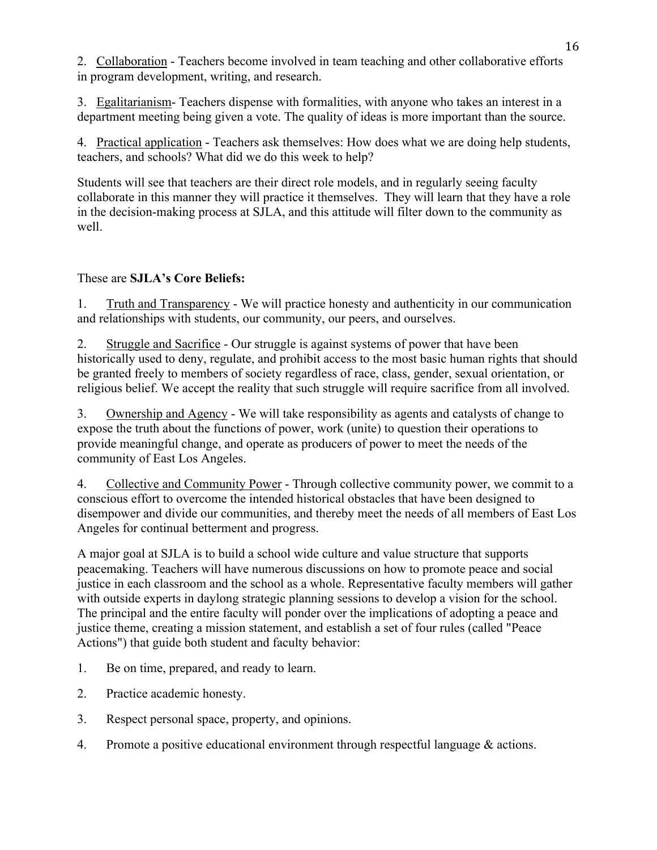2. Collaboration - Teachers become involved in team teaching and other collaborative efforts in program development, writing, and research.

3. Egalitarianism- Teachers dispense with formalities, with anyone who takes an interest in a department meeting being given a vote. The quality of ideas is more important than the source.

4. Practical application - Teachers ask themselves: How does what we are doing help students, teachers, and schools? What did we do this week to help?

Students will see that teachers are their direct role models, and in regularly seeing faculty collaborate in this manner they will practice it themselves. They will learn that they have a role in the decision-making process at SJLA, and this attitude will filter down to the community as well.

# These are **SJLA's Core Beliefs:**

1. Truth and Transparency - We will practice honesty and authenticity in our communication and relationships with students, our community, our peers, and ourselves.

2. Struggle and Sacrifice - Our struggle is against systems of power that have been historically used to deny, regulate, and prohibit access to the most basic human rights that should be granted freely to members of society regardless of race, class, gender, sexual orientation, or religious belief. We accept the reality that such struggle will require sacrifice from all involved.

3. Ownership and Agency - We will take responsibility as agents and catalysts of change to expose the truth about the functions of power, work (unite) to question their operations to provide meaningful change, and operate as producers of power to meet the needs of the community of East Los Angeles.

4. Collective and Community Power - Through collective community power, we commit to a conscious effort to overcome the intended historical obstacles that have been designed to disempower and divide our communities, and thereby meet the needs of all members of East Los Angeles for continual betterment and progress.

A major goal at SJLA is to build a school wide culture and value structure that supports peacemaking. Teachers will have numerous discussions on how to promote peace and social justice in each classroom and the school as a whole. Representative faculty members will gather with outside experts in daylong strategic planning sessions to develop a vision for the school. The principal and the entire faculty will ponder over the implications of adopting a peace and justice theme, creating a mission statement, and establish a set of four rules (called "Peace Actions") that guide both student and faculty behavior:

- 1. Be on time, prepared, and ready to learn.
- 2. Practice academic honesty.
- 3. Respect personal space, property, and opinions.
- 4. Promote a positive educational environment through respectful language & actions.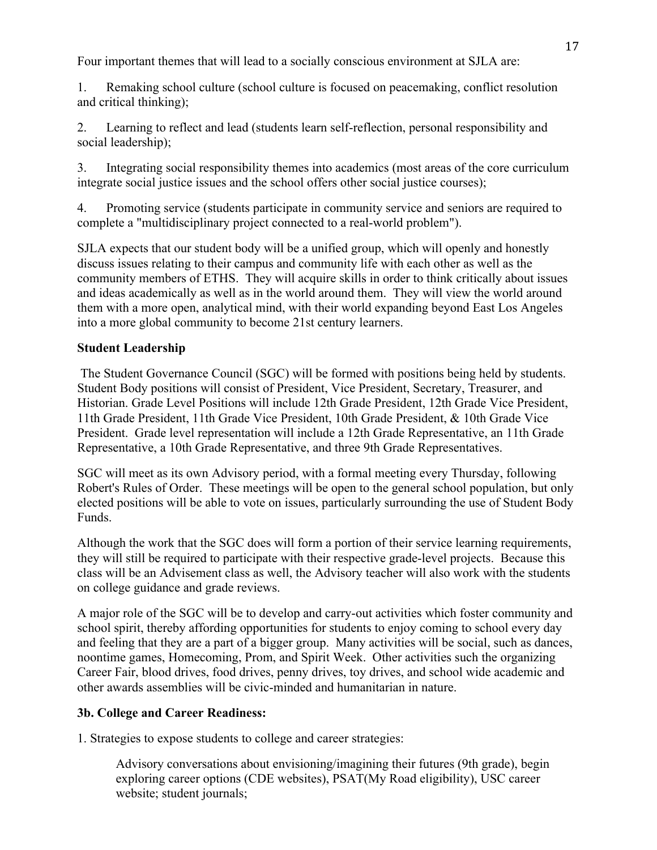Four important themes that will lead to a socially conscious environment at SJLA are:

1. Remaking school culture (school culture is focused on peacemaking, conflict resolution and critical thinking);

2. Learning to reflect and lead (students learn self-reflection, personal responsibility and social leadership);

3. Integrating social responsibility themes into academics (most areas of the core curriculum integrate social justice issues and the school offers other social justice courses);

4. Promoting service (students participate in community service and seniors are required to complete a "multidisciplinary project connected to a real-world problem").

SJLA expects that our student body will be a unified group, which will openly and honestly discuss issues relating to their campus and community life with each other as well as the community members of ETHS. They will acquire skills in order to think critically about issues and ideas academically as well as in the world around them. They will view the world around them with a more open, analytical mind, with their world expanding beyond East Los Angeles into a more global community to become 21st century learners.

# **Student Leadership**

The Student Governance Council (SGC) will be formed with positions being held by students. Student Body positions will consist of President, Vice President, Secretary, Treasurer, and Historian. Grade Level Positions will include 12th Grade President, 12th Grade Vice President, 11th Grade President, 11th Grade Vice President, 10th Grade President, & 10th Grade Vice President. Grade level representation will include a 12th Grade Representative, an 11th Grade Representative, a 10th Grade Representative, and three 9th Grade Representatives.

SGC will meet as its own Advisory period, with a formal meeting every Thursday, following Robert's Rules of Order. These meetings will be open to the general school population, but only elected positions will be able to vote on issues, particularly surrounding the use of Student Body Funds.

Although the work that the SGC does will form a portion of their service learning requirements, they will still be required to participate with their respective grade-level projects. Because this class will be an Advisement class as well, the Advisory teacher will also work with the students on college guidance and grade reviews.

A major role of the SGC will be to develop and carry-out activities which foster community and school spirit, thereby affording opportunities for students to enjoy coming to school every day and feeling that they are a part of a bigger group. Many activities will be social, such as dances, noontime games, Homecoming, Prom, and Spirit Week. Other activities such the organizing Career Fair, blood drives, food drives, penny drives, toy drives, and school wide academic and other awards assemblies will be civic-minded and humanitarian in nature.

# **3b. College and Career Readiness:**

1. Strategies to expose students to college and career strategies:

Advisory conversations about envisioning/imagining their futures (9th grade), begin exploring career options (CDE websites), PSAT(My Road eligibility), USC career website; student journals;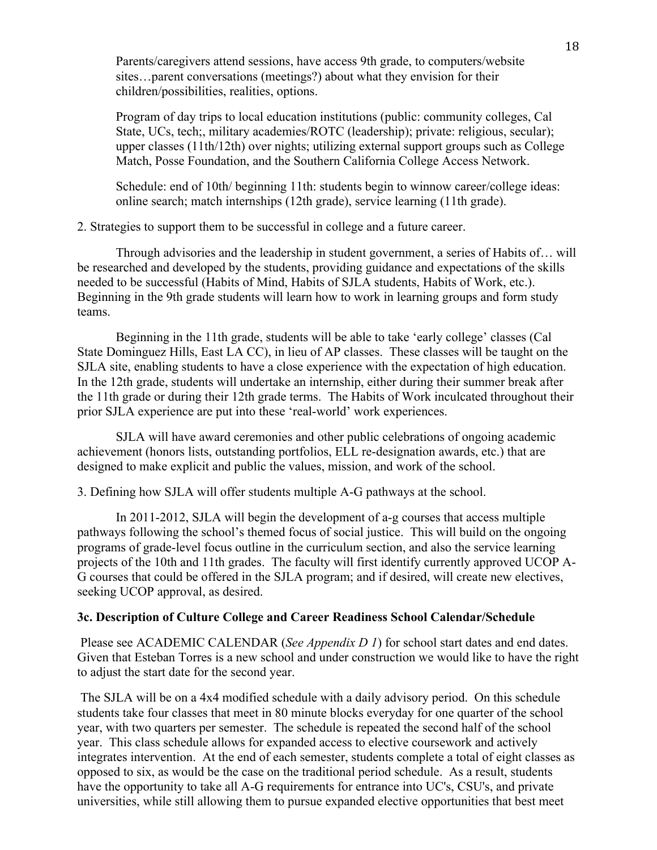Parents/caregivers attend sessions, have access 9th grade, to computers/website sites…parent conversations (meetings?) about what they envision for their children/possibilities, realities, options.

Program of day trips to local education institutions (public: community colleges, Cal State, UCs, tech;, military academies/ROTC (leadership); private: religious, secular); upper classes (11th/12th) over nights; utilizing external support groups such as College Match, Posse Foundation, and the Southern California College Access Network.

Schedule: end of 10th/ beginning 11th: students begin to winnow career/college ideas: online search; match internships (12th grade), service learning (11th grade).

2. Strategies to support them to be successful in college and a future career.

 Through advisories and the leadership in student government, a series of Habits of… will be researched and developed by the students, providing guidance and expectations of the skills needed to be successful (Habits of Mind, Habits of SJLA students, Habits of Work, etc.). Beginning in the 9th grade students will learn how to work in learning groups and form study teams.

 Beginning in the 11th grade, students will be able to take 'early college' classes (Cal State Dominguez Hills, East LA CC), in lieu of AP classes. These classes will be taught on the SJLA site, enabling students to have a close experience with the expectation of high education. In the 12th grade, students will undertake an internship, either during their summer break after the 11th grade or during their 12th grade terms. The Habits of Work inculcated throughout their prior SJLA experience are put into these 'real-world' work experiences.

 SJLA will have award ceremonies and other public celebrations of ongoing academic achievement (honors lists, outstanding portfolios, ELL re-designation awards, etc.) that are designed to make explicit and public the values, mission, and work of the school.

3. Defining how SJLA will offer students multiple A-G pathways at the school.

 In 2011-2012, SJLA will begin the development of a-g courses that access multiple pathways following the school's themed focus of social justice. This will build on the ongoing programs of grade-level focus outline in the curriculum section, and also the service learning projects of the 10th and 11th grades. The faculty will first identify currently approved UCOP A-G courses that could be offered in the SJLA program; and if desired, will create new electives, seeking UCOP approval, as desired.

#### **3c. Description of Culture College and Career Readiness School Calendar/Schedule**

Please see ACADEMIC CALENDAR (*See Appendix D 1*) for school start dates and end dates. Given that Esteban Torres is a new school and under construction we would like to have the right to adjust the start date for the second year.

The SJLA will be on a 4x4 modified schedule with a daily advisory period. On this schedule students take four classes that meet in 80 minute blocks everyday for one quarter of the school year, with two quarters per semester. The schedule is repeated the second half of the school year. This class schedule allows for expanded access to elective coursework and actively integrates intervention. At the end of each semester, students complete a total of eight classes as opposed to six, as would be the case on the traditional period schedule. As a result, students have the opportunity to take all A-G requirements for entrance into UC's, CSU's, and private universities, while still allowing them to pursue expanded elective opportunities that best meet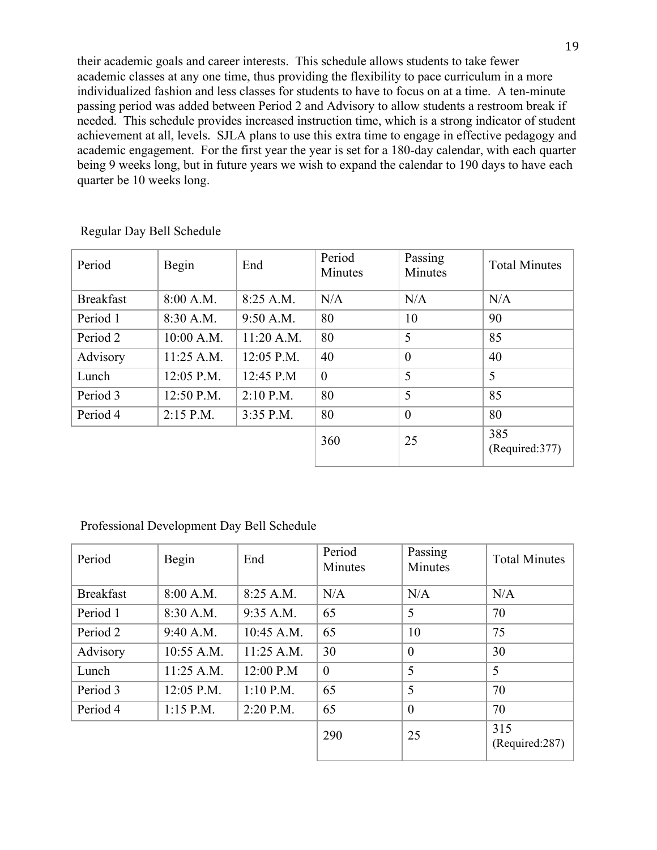their academic goals and career interests. This schedule allows students to take fewer academic classes at any one time, thus providing the flexibility to pace curriculum in a more individualized fashion and less classes for students to have to focus on at a time. A ten-minute passing period was added between Period 2 and Advisory to allow students a restroom break if needed. This schedule provides increased instruction time, which is a strong indicator of student achievement at all, levels. SJLA plans to use this extra time to engage in effective pedagogy and academic engagement. For the first year the year is set for a 180-day calendar, with each quarter being 9 weeks long, but in future years we wish to expand the calendar to 190 days to have each quarter be 10 weeks long.

| Period           | Begin        | End          | Period<br>Minutes | Passing<br>Minutes | <b>Total Minutes</b>   |
|------------------|--------------|--------------|-------------------|--------------------|------------------------|
| <b>Breakfast</b> | 8:00 A.M.    | 8:25 A.M.    | N/A               | N/A                | N/A                    |
| Period 1         | 8:30 A.M.    | 9:50 A.M.    | 80                | 10                 | 90                     |
| Period 2         | 10:00 A.M.   | $11:20$ A.M. | 80                | 5                  | 85                     |
| Advisory         | $11:25$ A.M. | 12:05 P.M.   | 40                | $\overline{0}$     | 40                     |
| Lunch            | 12:05 P.M.   | 12:45 P.M    | $\theta$          | 5                  | 5                      |
| Period 3         | 12:50 P.M.   | $2:10$ P.M.  | 80                | 5                  | 85                     |
| Period 4         | $2:15$ P.M.  | $3:35$ P.M.  | 80                | $\boldsymbol{0}$   | 80                     |
|                  |              |              | 360               | 25                 | 385<br>(Required: 377) |

Regular Day Bell Schedule

|  | Professional Development Day Bell Schedule |  |  |
|--|--------------------------------------------|--|--|
|--|--------------------------------------------|--|--|

| Period           | Begin       | End          | Period<br>Minutes | Passing<br>Minutes | <b>Total Minutes</b>  |
|------------------|-------------|--------------|-------------------|--------------------|-----------------------|
| <b>Breakfast</b> | 8:00 A.M.   | 8:25 A.M.    | N/A               | N/A                | N/A                   |
| Period 1         | 8:30 A.M.   | 9:35 A.M.    | 65                | 5                  | 70                    |
| Period 2         | 9:40 A.M.   | 10:45 A.M.   | 65                | 10                 | 75                    |
| Advisory         | 10:55 A.M.  | $11:25$ A.M. | 30                | $\theta$           | 30                    |
| Lunch            | 11:25 A.M.  | 12:00 P.M    | $\mathbf{0}$      | 5                  | 5                     |
| Period 3         | 12:05 P.M.  | $1:10$ P.M.  | 65                | 5                  | 70                    |
| Period 4         | $1:15$ P.M. | $2:20$ P.M.  | 65                | $\theta$           | 70                    |
|                  |             |              | 290               | 25                 | 315<br>(Required:287) |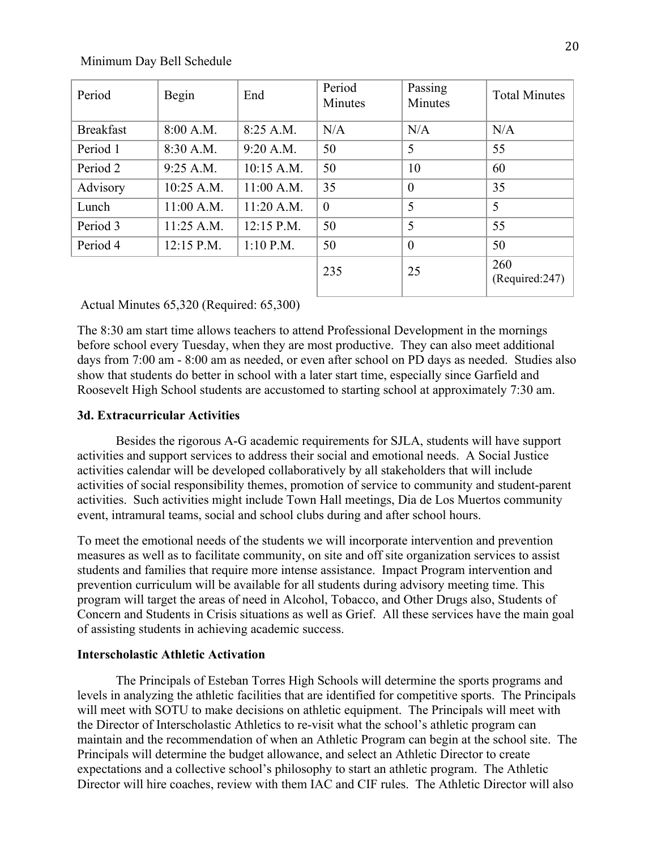#### Minimum Day Bell Schedule

| Period           | Begin      | End          | Period<br>Minutes | Passing<br>Minutes | <b>Total Minutes</b>  |
|------------------|------------|--------------|-------------------|--------------------|-----------------------|
| <b>Breakfast</b> | 8:00 A.M.  | 8:25 A.M.    | N/A               | N/A                | N/A                   |
| Period 1         | 8:30 A.M.  | 9:20 A.M.    | 50                | 5                  | 55                    |
| Period 2         | 9:25 A.M.  | 10:15 A.M.   | 50                | 10                 | 60                    |
| Advisory         | 10:25 A.M. | $11:00$ A.M. | 35                | $\theta$           | 35                    |
| Lunch            | 11:00 A.M. | 11:20 A.M.   | $\theta$          | 5                  | 5                     |
| Period 3         | 11:25 A.M. | $12:15$ P.M. | 50                | 5                  | 55                    |
| Period 4         | 12:15 P.M. | $1:10$ P.M.  | 50                | $\theta$           | 50                    |
|                  |            |              | 235               | 25                 | 260<br>(Required:247) |

#### Actual Minutes 65,320 (Required: 65,300)

The 8:30 am start time allows teachers to attend Professional Development in the mornings before school every Tuesday, when they are most productive. They can also meet additional days from 7:00 am - 8:00 am as needed, or even after school on PD days as needed. Studies also show that students do better in school with a later start time, especially since Garfield and Roosevelt High School students are accustomed to starting school at approximately 7:30 am.

#### **3d. Extracurricular Activities**

Besides the rigorous A-G academic requirements for SJLA, students will have support activities and support services to address their social and emotional needs. A Social Justice activities calendar will be developed collaboratively by all stakeholders that will include activities of social responsibility themes, promotion of service to community and student-parent activities. Such activities might include Town Hall meetings, Dia de Los Muertos community event, intramural teams, social and school clubs during and after school hours.

To meet the emotional needs of the students we will incorporate intervention and prevention measures as well as to facilitate community, on site and off site organization services to assist students and families that require more intense assistance. Impact Program intervention and prevention curriculum will be available for all students during advisory meeting time. This program will target the areas of need in Alcohol, Tobacco, and Other Drugs also, Students of Concern and Students in Crisis situations as well as Grief. All these services have the main goal of assisting students in achieving academic success.

#### **Interscholastic Athletic Activation**

 The Principals of Esteban Torres High Schools will determine the sports programs and levels in analyzing the athletic facilities that are identified for competitive sports. The Principals will meet with SOTU to make decisions on athletic equipment. The Principals will meet with the Director of Interscholastic Athletics to re-visit what the school's athletic program can maintain and the recommendation of when an Athletic Program can begin at the school site. The Principals will determine the budget allowance, and select an Athletic Director to create expectations and a collective school's philosophy to start an athletic program. The Athletic Director will hire coaches, review with them IAC and CIF rules. The Athletic Director will also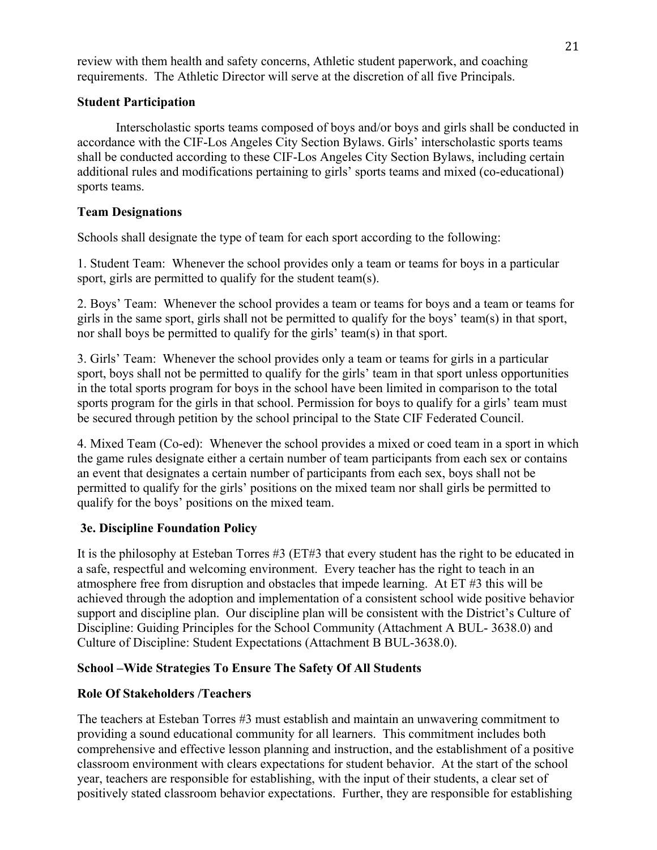review with them health and safety concerns, Athletic student paperwork, and coaching requirements. The Athletic Director will serve at the discretion of all five Principals.

# **Student Participation**

Interscholastic sports teams composed of boys and/or boys and girls shall be conducted in accordance with the CIF-Los Angeles City Section Bylaws. Girls' interscholastic sports teams shall be conducted according to these CIF-Los Angeles City Section Bylaws, including certain additional rules and modifications pertaining to girls' sports teams and mixed (co-educational) sports teams.

# **Team Designations**

Schools shall designate the type of team for each sport according to the following:

1. Student Team: Whenever the school provides only a team or teams for boys in a particular sport, girls are permitted to qualify for the student team(s).

2. Boys' Team: Whenever the school provides a team or teams for boys and a team or teams for girls in the same sport, girls shall not be permitted to qualify for the boys' team(s) in that sport, nor shall boys be permitted to qualify for the girls' team(s) in that sport.

3. Girls' Team: Whenever the school provides only a team or teams for girls in a particular sport, boys shall not be permitted to qualify for the girls' team in that sport unless opportunities in the total sports program for boys in the school have been limited in comparison to the total sports program for the girls in that school. Permission for boys to qualify for a girls' team must be secured through petition by the school principal to the State CIF Federated Council.

4. Mixed Team (Co-ed): Whenever the school provides a mixed or coed team in a sport in which the game rules designate either a certain number of team participants from each sex or contains an event that designates a certain number of participants from each sex, boys shall not be permitted to qualify for the girls' positions on the mixed team nor shall girls be permitted to qualify for the boys' positions on the mixed team.

# **3e. Discipline Foundation Policy**

It is the philosophy at Esteban Torres #3 (ET#3 that every student has the right to be educated in a safe, respectful and welcoming environment. Every teacher has the right to teach in an atmosphere free from disruption and obstacles that impede learning. At ET #3 this will be achieved through the adoption and implementation of a consistent school wide positive behavior support and discipline plan. Our discipline plan will be consistent with the District's Culture of Discipline: Guiding Principles for the School Community (Attachment A BUL- 3638.0) and Culture of Discipline: Student Expectations (Attachment B BUL-3638.0).

# **School –Wide Strategies To Ensure The Safety Of All Students**

# **Role Of Stakeholders /Teachers**

The teachers at Esteban Torres #3 must establish and maintain an unwavering commitment to providing a sound educational community for all learners. This commitment includes both comprehensive and effective lesson planning and instruction, and the establishment of a positive classroom environment with clears expectations for student behavior. At the start of the school year, teachers are responsible for establishing, with the input of their students, a clear set of positively stated classroom behavior expectations. Further, they are responsible for establishing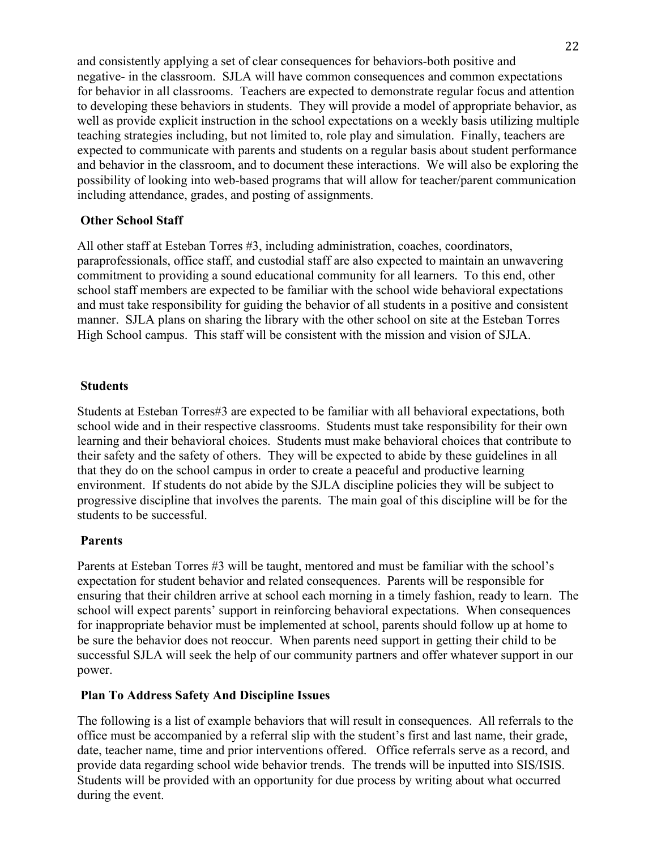and consistently applying a set of clear consequences for behaviors-both positive and negative- in the classroom. SJLA will have common consequences and common expectations for behavior in all classrooms. Teachers are expected to demonstrate regular focus and attention to developing these behaviors in students. They will provide a model of appropriate behavior, as well as provide explicit instruction in the school expectations on a weekly basis utilizing multiple teaching strategies including, but not limited to, role play and simulation. Finally, teachers are expected to communicate with parents and students on a regular basis about student performance and behavior in the classroom, and to document these interactions. We will also be exploring the possibility of looking into web-based programs that will allow for teacher/parent communication including attendance, grades, and posting of assignments.

### **Other School Staff**

All other staff at Esteban Torres #3, including administration, coaches, coordinators, paraprofessionals, office staff, and custodial staff are also expected to maintain an unwavering commitment to providing a sound educational community for all learners. To this end, other school staff members are expected to be familiar with the school wide behavioral expectations and must take responsibility for guiding the behavior of all students in a positive and consistent manner. SJLA plans on sharing the library with the other school on site at the Esteban Torres High School campus. This staff will be consistent with the mission and vision of SJLA.

#### **Students**

Students at Esteban Torres#3 are expected to be familiar with all behavioral expectations, both school wide and in their respective classrooms. Students must take responsibility for their own learning and their behavioral choices. Students must make behavioral choices that contribute to their safety and the safety of others. They will be expected to abide by these guidelines in all that they do on the school campus in order to create a peaceful and productive learning environment. If students do not abide by the SJLA discipline policies they will be subject to progressive discipline that involves the parents. The main goal of this discipline will be for the students to be successful.

#### **Parents**

Parents at Esteban Torres #3 will be taught, mentored and must be familiar with the school's expectation for student behavior and related consequences. Parents will be responsible for ensuring that their children arrive at school each morning in a timely fashion, ready to learn. The school will expect parents' support in reinforcing behavioral expectations. When consequences for inappropriate behavior must be implemented at school, parents should follow up at home to be sure the behavior does not reoccur. When parents need support in getting their child to be successful SJLA will seek the help of our community partners and offer whatever support in our power.

#### **Plan To Address Safety And Discipline Issues**

The following is a list of example behaviors that will result in consequences. All referrals to the office must be accompanied by a referral slip with the student's first and last name, their grade, date, teacher name, time and prior interventions offered. Office referrals serve as a record, and provide data regarding school wide behavior trends. The trends will be inputted into SIS/ISIS. Students will be provided with an opportunity for due process by writing about what occurred during the event.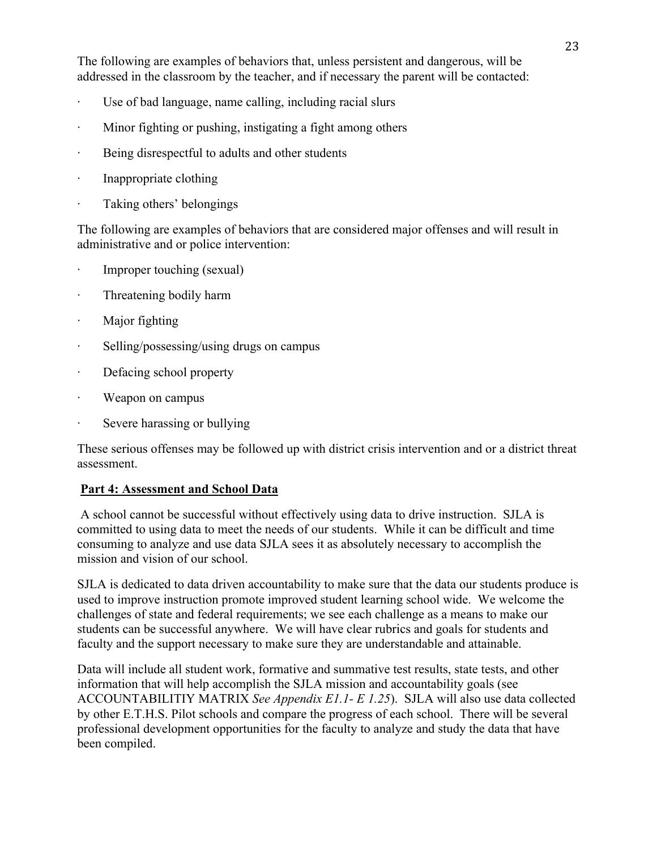The following are examples of behaviors that, unless persistent and dangerous, will be addressed in the classroom by the teacher, and if necessary the parent will be contacted:

- · Use of bad language, name calling, including racial slurs
- · Minor fighting or pushing, instigating a fight among others
- · Being disrespectful to adults and other students
- · Inappropriate clothing
- Taking others' belongings

The following are examples of behaviors that are considered major offenses and will result in administrative and or police intervention:

- · Improper touching (sexual)
- · Threatening bodily harm
- · Major fighting
- · Selling/possessing/using drugs on campus
- Defacing school property
- Weapon on campus
- · Severe harassing or bullying

These serious offenses may be followed up with district crisis intervention and or a district threat assessment.

# **Part 4: Assessment and School Data**

A school cannot be successful without effectively using data to drive instruction. SJLA is committed to using data to meet the needs of our students. While it can be difficult and time consuming to analyze and use data SJLA sees it as absolutely necessary to accomplish the mission and vision of our school.

SJLA is dedicated to data driven accountability to make sure that the data our students produce is used to improve instruction promote improved student learning school wide. We welcome the challenges of state and federal requirements; we see each challenge as a means to make our students can be successful anywhere. We will have clear rubrics and goals for students and faculty and the support necessary to make sure they are understandable and attainable.

Data will include all student work, formative and summative test results, state tests, and other information that will help accomplish the SJLA mission and accountability goals (see ACCOUNTABILITIY MATRIX *See Appendix E1.1- E 1.25*). SJLA will also use data collected by other E.T.H.S. Pilot schools and compare the progress of each school. There will be several professional development opportunities for the faculty to analyze and study the data that have been compiled.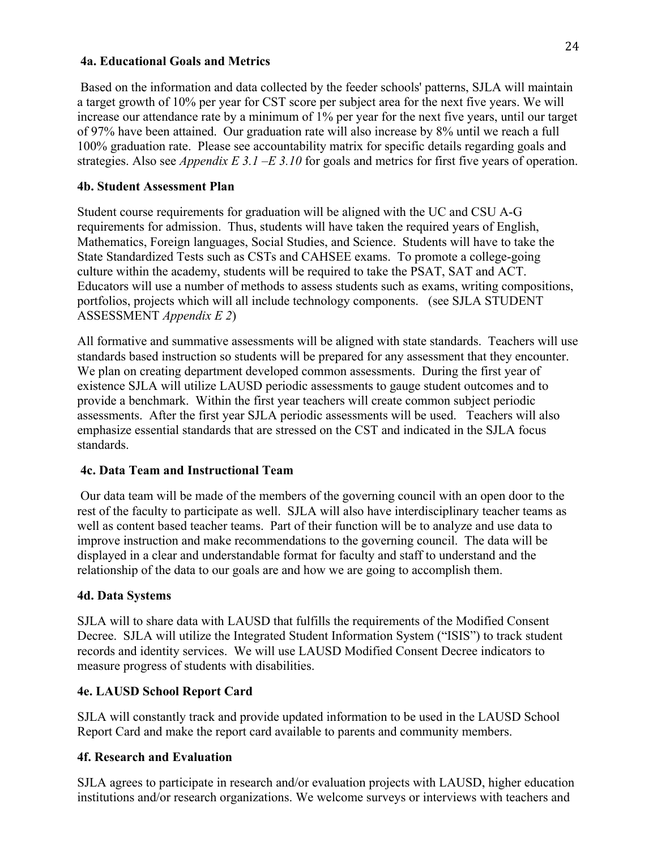### **4a. Educational Goals and Metrics**

Based on the information and data collected by the feeder schools' patterns, SJLA will maintain a target growth of 10% per year for CST score per subject area for the next five years. We will increase our attendance rate by a minimum of 1% per year for the next five years, until our target of 97% have been attained. Our graduation rate will also increase by 8% until we reach a full 100% graduation rate. Please see accountability matrix for specific details regarding goals and strategies. Also see *Appendix E 3.1 –E 3.10* for goals and metrics for first five years of operation.

### **4b. Student Assessment Plan**

Student course requirements for graduation will be aligned with the UC and CSU A-G requirements for admission. Thus, students will have taken the required years of English, Mathematics, Foreign languages, Social Studies, and Science. Students will have to take the State Standardized Tests such as CSTs and CAHSEE exams. To promote a college-going culture within the academy, students will be required to take the PSAT, SAT and ACT. Educators will use a number of methods to assess students such as exams, writing compositions, portfolios, projects which will all include technology components. (see SJLA STUDENT ASSESSMENT *Appendix E 2*)

All formative and summative assessments will be aligned with state standards. Teachers will use standards based instruction so students will be prepared for any assessment that they encounter. We plan on creating department developed common assessments. During the first year of existence SJLA will utilize LAUSD periodic assessments to gauge student outcomes and to provide a benchmark. Within the first year teachers will create common subject periodic assessments. After the first year SJLA periodic assessments will be used. Teachers will also emphasize essential standards that are stressed on the CST and indicated in the SJLA focus standards.

# **4c. Data Team and Instructional Team**

Our data team will be made of the members of the governing council with an open door to the rest of the faculty to participate as well. SJLA will also have interdisciplinary teacher teams as well as content based teacher teams. Part of their function will be to analyze and use data to improve instruction and make recommendations to the governing council. The data will be displayed in a clear and understandable format for faculty and staff to understand and the relationship of the data to our goals are and how we are going to accomplish them.

#### **4d. Data Systems**

SJLA will to share data with LAUSD that fulfills the requirements of the Modified Consent Decree. SJLA will utilize the Integrated Student Information System ("ISIS") to track student records and identity services. We will use LAUSD Modified Consent Decree indicators to measure progress of students with disabilities.

# **4e. LAUSD School Report Card**

SJLA will constantly track and provide updated information to be used in the LAUSD School Report Card and make the report card available to parents and community members.

#### **4f. Research and Evaluation**

SJLA agrees to participate in research and/or evaluation projects with LAUSD, higher education institutions and/or research organizations. We welcome surveys or interviews with teachers and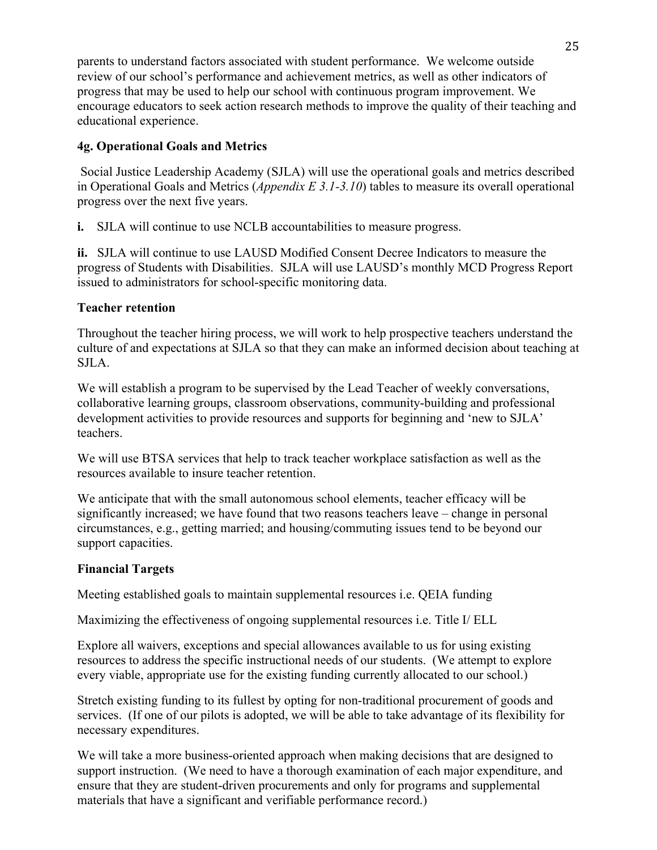parents to understand factors associated with student performance. We welcome outside review of our school's performance and achievement metrics, as well as other indicators of progress that may be used to help our school with continuous program improvement. We encourage educators to seek action research methods to improve the quality of their teaching and educational experience.

# **4g. Operational Goals and Metrics**

Social Justice Leadership Academy (SJLA) will use the operational goals and metrics described in Operational Goals and Metrics (*Appendix E 3.1-3.10*) tables to measure its overall operational progress over the next five years.

**i.** SJLA will continue to use NCLB accountabilities to measure progress.

**ii.** SJLA will continue to use LAUSD Modified Consent Decree Indicators to measure the progress of Students with Disabilities. SJLA will use LAUSD's monthly MCD Progress Report issued to administrators for school-specific monitoring data.

# **Teacher retention**

Throughout the teacher hiring process, we will work to help prospective teachers understand the culture of and expectations at SJLA so that they can make an informed decision about teaching at SJLA.

We will establish a program to be supervised by the Lead Teacher of weekly conversations, collaborative learning groups, classroom observations, community-building and professional development activities to provide resources and supports for beginning and 'new to SJLA' teachers.

We will use BTSA services that help to track teacher workplace satisfaction as well as the resources available to insure teacher retention.

We anticipate that with the small autonomous school elements, teacher efficacy will be significantly increased; we have found that two reasons teachers leave – change in personal circumstances, e.g., getting married; and housing/commuting issues tend to be beyond our support capacities.

# **Financial Targets**

Meeting established goals to maintain supplemental resources i.e. QEIA funding

Maximizing the effectiveness of ongoing supplemental resources i.e. Title I/ ELL

Explore all waivers, exceptions and special allowances available to us for using existing resources to address the specific instructional needs of our students. (We attempt to explore every viable, appropriate use for the existing funding currently allocated to our school.)

Stretch existing funding to its fullest by opting for non-traditional procurement of goods and services. (If one of our pilots is adopted, we will be able to take advantage of its flexibility for necessary expenditures.

We will take a more business-oriented approach when making decisions that are designed to support instruction. (We need to have a thorough examination of each major expenditure, and ensure that they are student-driven procurements and only for programs and supplemental materials that have a significant and verifiable performance record.)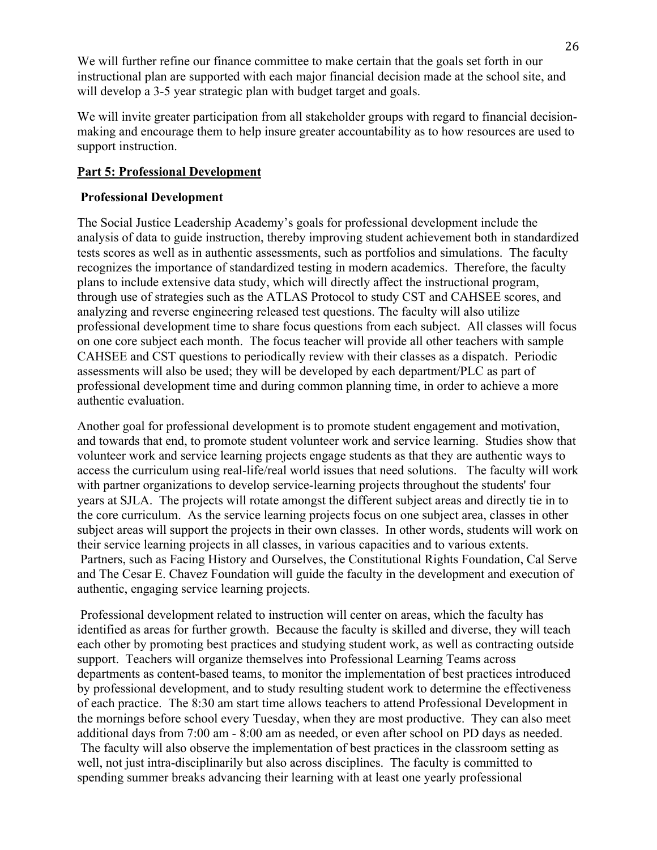We will further refine our finance committee to make certain that the goals set forth in our instructional plan are supported with each major financial decision made at the school site, and will develop a 3-5 year strategic plan with budget target and goals.

We will invite greater participation from all stakeholder groups with regard to financial decisionmaking and encourage them to help insure greater accountability as to how resources are used to support instruction.

### **Part 5: Professional Development**

### **Professional Development**

The Social Justice Leadership Academy's goals for professional development include the analysis of data to guide instruction, thereby improving student achievement both in standardized tests scores as well as in authentic assessments, such as portfolios and simulations. The faculty recognizes the importance of standardized testing in modern academics. Therefore, the faculty plans to include extensive data study, which will directly affect the instructional program, through use of strategies such as the ATLAS Protocol to study CST and CAHSEE scores, and analyzing and reverse engineering released test questions. The faculty will also utilize professional development time to share focus questions from each subject. All classes will focus on one core subject each month. The focus teacher will provide all other teachers with sample CAHSEE and CST questions to periodically review with their classes as a dispatch. Periodic assessments will also be used; they will be developed by each department/PLC as part of professional development time and during common planning time, in order to achieve a more authentic evaluation.

Another goal for professional development is to promote student engagement and motivation, and towards that end, to promote student volunteer work and service learning. Studies show that volunteer work and service learning projects engage students as that they are authentic ways to access the curriculum using real-life/real world issues that need solutions. The faculty will work with partner organizations to develop service-learning projects throughout the students' four years at SJLA. The projects will rotate amongst the different subject areas and directly tie in to the core curriculum. As the service learning projects focus on one subject area, classes in other subject areas will support the projects in their own classes. In other words, students will work on their service learning projects in all classes, in various capacities and to various extents. Partners, such as Facing History and Ourselves, the Constitutional Rights Foundation, Cal Serve and The Cesar E. Chavez Foundation will guide the faculty in the development and execution of authentic, engaging service learning projects.

Professional development related to instruction will center on areas, which the faculty has identified as areas for further growth. Because the faculty is skilled and diverse, they will teach each other by promoting best practices and studying student work, as well as contracting outside support. Teachers will organize themselves into Professional Learning Teams across departments as content-based teams, to monitor the implementation of best practices introduced by professional development, and to study resulting student work to determine the effectiveness of each practice. The 8:30 am start time allows teachers to attend Professional Development in the mornings before school every Tuesday, when they are most productive. They can also meet additional days from 7:00 am - 8:00 am as needed, or even after school on PD days as needed. The faculty will also observe the implementation of best practices in the classroom setting as well, not just intra-disciplinarily but also across disciplines. The faculty is committed to spending summer breaks advancing their learning with at least one yearly professional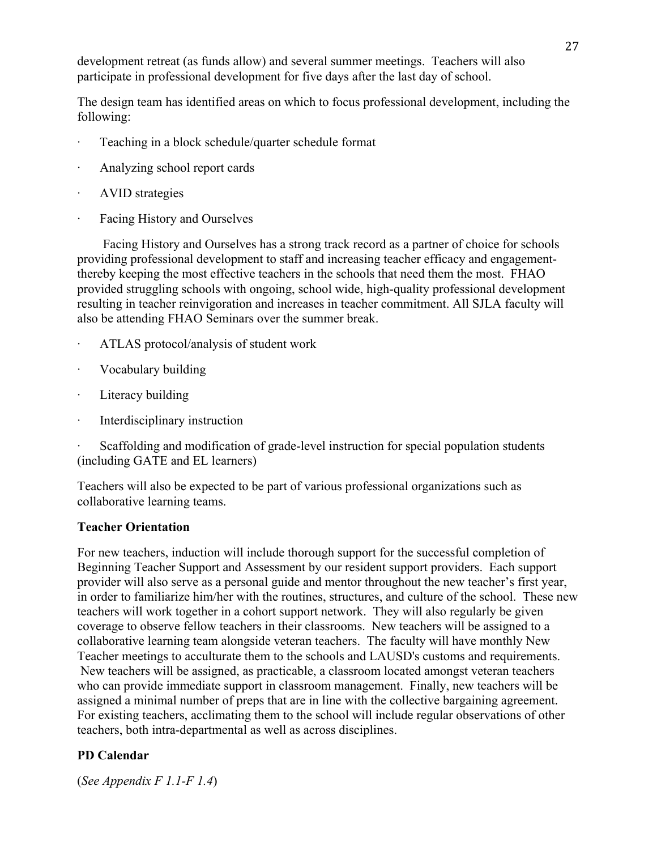development retreat (as funds allow) and several summer meetings. Teachers will also participate in professional development for five days after the last day of school.

The design team has identified areas on which to focus professional development, including the following:

- Teaching in a block schedule/quarter schedule format
- Analyzing school report cards
- AVID strategies
- · Facing History and Ourselves

 Facing History and Ourselves has a strong track record as a partner of choice for schools providing professional development to staff and increasing teacher efficacy and engagementthereby keeping the most effective teachers in the schools that need them the most. FHAO provided struggling schools with ongoing, school wide, high-quality professional development resulting in teacher reinvigoration and increases in teacher commitment. All SJLA faculty will also be attending FHAO Seminars over the summer break.

- · ATLAS protocol/analysis of student work
- · Vocabulary building
- Literacy building
- · Interdisciplinary instruction

· Scaffolding and modification of grade-level instruction for special population students (including GATE and EL learners)

Teachers will also be expected to be part of various professional organizations such as collaborative learning teams.

# **Teacher Orientation**

For new teachers, induction will include thorough support for the successful completion of Beginning Teacher Support and Assessment by our resident support providers. Each support provider will also serve as a personal guide and mentor throughout the new teacher's first year, in order to familiarize him/her with the routines, structures, and culture of the school. These new teachers will work together in a cohort support network. They will also regularly be given coverage to observe fellow teachers in their classrooms. New teachers will be assigned to a collaborative learning team alongside veteran teachers. The faculty will have monthly New Teacher meetings to acculturate them to the schools and LAUSD's customs and requirements. New teachers will be assigned, as practicable, a classroom located amongst veteran teachers who can provide immediate support in classroom management. Finally, new teachers will be assigned a minimal number of preps that are in line with the collective bargaining agreement. For existing teachers, acclimating them to the school will include regular observations of other teachers, both intra-departmental as well as across disciplines.

# **PD Calendar**

(*See Appendix F 1.1-F 1.4*)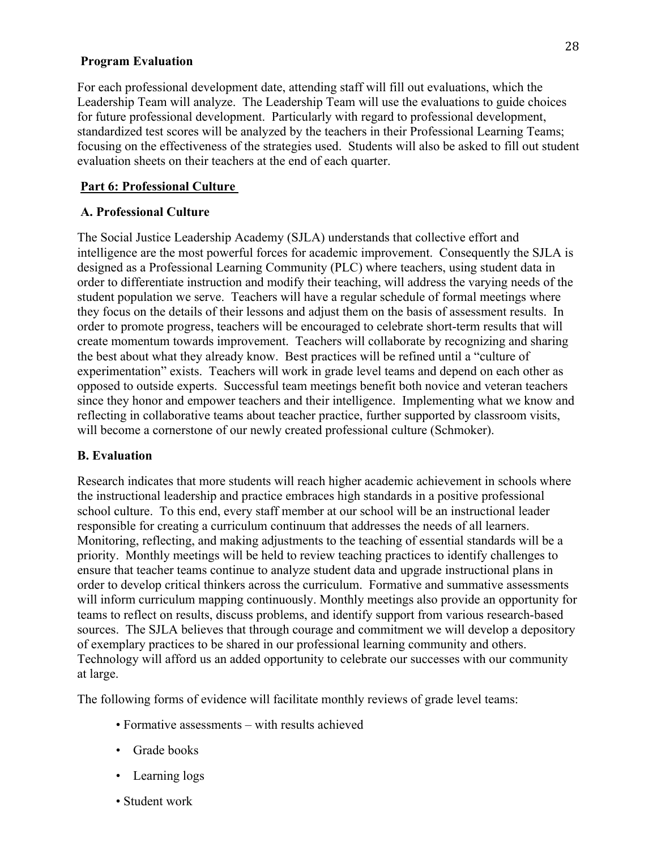#### **Program Evaluation**

For each professional development date, attending staff will fill out evaluations, which the Leadership Team will analyze. The Leadership Team will use the evaluations to guide choices for future professional development. Particularly with regard to professional development, standardized test scores will be analyzed by the teachers in their Professional Learning Teams; focusing on the effectiveness of the strategies used. Students will also be asked to fill out student evaluation sheets on their teachers at the end of each quarter.

# **Part 6: Professional Culture**

### **A. Professional Culture**

The Social Justice Leadership Academy (SJLA) understands that collective effort and intelligence are the most powerful forces for academic improvement. Consequently the SJLA is designed as a Professional Learning Community (PLC) where teachers, using student data in order to differentiate instruction and modify their teaching, will address the varying needs of the student population we serve. Teachers will have a regular schedule of formal meetings where they focus on the details of their lessons and adjust them on the basis of assessment results. In order to promote progress, teachers will be encouraged to celebrate short-term results that will create momentum towards improvement. Teachers will collaborate by recognizing and sharing the best about what they already know. Best practices will be refined until a "culture of experimentation" exists. Teachers will work in grade level teams and depend on each other as opposed to outside experts. Successful team meetings benefit both novice and veteran teachers since they honor and empower teachers and their intelligence. Implementing what we know and reflecting in collaborative teams about teacher practice, further supported by classroom visits, will become a cornerstone of our newly created professional culture (Schmoker).

# **B. Evaluation**

Research indicates that more students will reach higher academic achievement in schools where the instructional leadership and practice embraces high standards in a positive professional school culture. To this end, every staff member at our school will be an instructional leader responsible for creating a curriculum continuum that addresses the needs of all learners. Monitoring, reflecting, and making adjustments to the teaching of essential standards will be a priority. Monthly meetings will be held to review teaching practices to identify challenges to ensure that teacher teams continue to analyze student data and upgrade instructional plans in order to develop critical thinkers across the curriculum. Formative and summative assessments will inform curriculum mapping continuously. Monthly meetings also provide an opportunity for teams to reflect on results, discuss problems, and identify support from various research-based sources. The SJLA believes that through courage and commitment we will develop a depository of exemplary practices to be shared in our professional learning community and others. Technology will afford us an added opportunity to celebrate our successes with our community at large.

The following forms of evidence will facilitate monthly reviews of grade level teams:

- Formative assessments with results achieved
- Grade books
- Learning logs
- Student work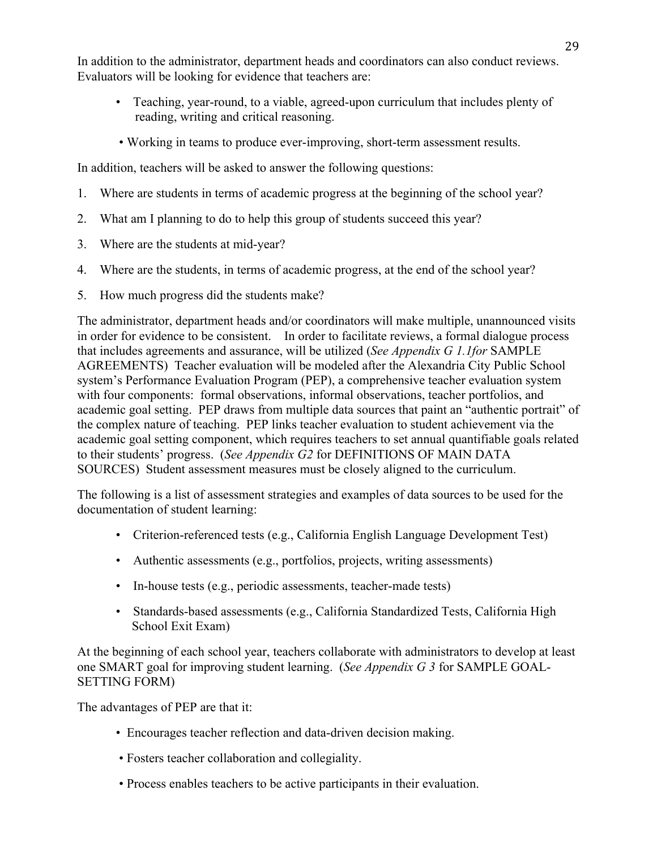In addition to the administrator, department heads and coordinators can also conduct reviews. Evaluators will be looking for evidence that teachers are:

- Teaching, year-round, to a viable, agreed-upon curriculum that includes plenty of reading, writing and critical reasoning.
- Working in teams to produce ever-improving, short-term assessment results.

In addition, teachers will be asked to answer the following questions:

- 1. Where are students in terms of academic progress at the beginning of the school year?
- 2. What am I planning to do to help this group of students succeed this year?
- 3. Where are the students at mid-year?
- 4. Where are the students, in terms of academic progress, at the end of the school year?
- 5. How much progress did the students make?

The administrator, department heads and/or coordinators will make multiple, unannounced visits in order for evidence to be consistent. In order to facilitate reviews, a formal dialogue process that includes agreements and assurance, will be utilized (*See Appendix G 1.1for* SAMPLE AGREEMENTS) Teacher evaluation will be modeled after the Alexandria City Public School system's Performance Evaluation Program (PEP), a comprehensive teacher evaluation system with four components: formal observations, informal observations, teacher portfolios, and academic goal setting. PEP draws from multiple data sources that paint an "authentic portrait" of the complex nature of teaching. PEP links teacher evaluation to student achievement via the academic goal setting component, which requires teachers to set annual quantifiable goals related to their students' progress. (*See Appendix G2* for DEFINITIONS OF MAIN DATA SOURCES) Student assessment measures must be closely aligned to the curriculum.

The following is a list of assessment strategies and examples of data sources to be used for the documentation of student learning:

- Criterion-referenced tests (e.g., California English Language Development Test)
- Authentic assessments (e.g., portfolios, projects, writing assessments)
- In-house tests (e.g., periodic assessments, teacher-made tests)
- Standards-based assessments (e.g., California Standardized Tests, California High School Exit Exam)

At the beginning of each school year, teachers collaborate with administrators to develop at least one SMART goal for improving student learning. (*See Appendix G 3* for SAMPLE GOAL-SETTING FORM)

The advantages of PEP are that it:

- Encourages teacher reflection and data-driven decision making.
- Fosters teacher collaboration and collegiality.
- Process enables teachers to be active participants in their evaluation.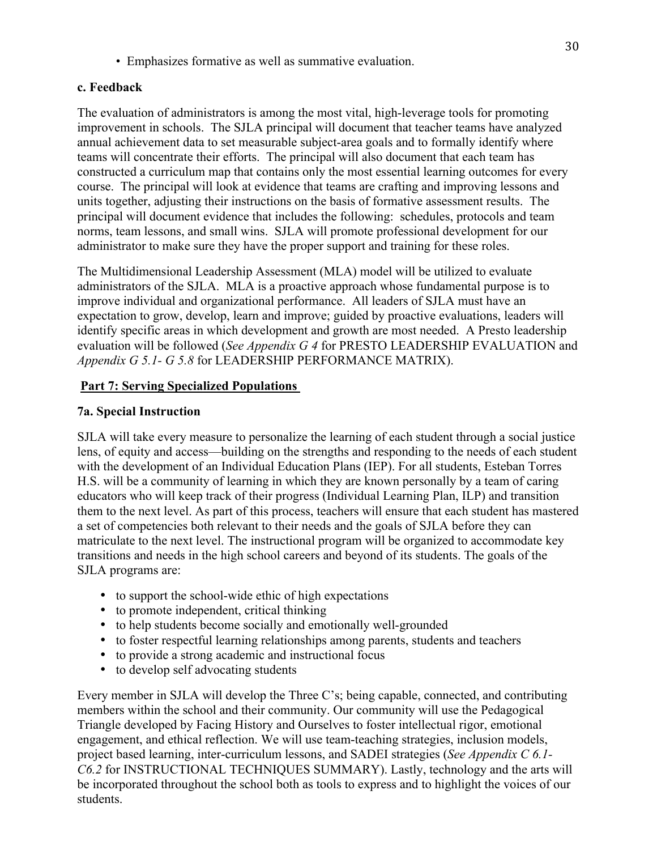• Emphasizes formative as well as summative evaluation.

### **c. Feedback**

The evaluation of administrators is among the most vital, high-leverage tools for promoting improvement in schools. The SJLA principal will document that teacher teams have analyzed annual achievement data to set measurable subject-area goals and to formally identify where teams will concentrate their efforts. The principal will also document that each team has constructed a curriculum map that contains only the most essential learning outcomes for every course. The principal will look at evidence that teams are crafting and improving lessons and units together, adjusting their instructions on the basis of formative assessment results. The principal will document evidence that includes the following: schedules, protocols and team norms, team lessons, and small wins. SJLA will promote professional development for our administrator to make sure they have the proper support and training for these roles.

The Multidimensional Leadership Assessment (MLA) model will be utilized to evaluate administrators of the SJLA. MLA is a proactive approach whose fundamental purpose is to improve individual and organizational performance. All leaders of SJLA must have an expectation to grow, develop, learn and improve; guided by proactive evaluations, leaders will identify specific areas in which development and growth are most needed. A Presto leadership evaluation will be followed (*See Appendix G 4* for PRESTO LEADERSHIP EVALUATION and *Appendix G 5.1- G 5.8* for LEADERSHIP PERFORMANCE MATRIX).

# **Part 7: Serving Specialized Populations**

# **7a. Special Instruction**

SJLA will take every measure to personalize the learning of each student through a social justice lens, of equity and access—building on the strengths and responding to the needs of each student with the development of an Individual Education Plans (IEP). For all students, Esteban Torres H.S. will be a community of learning in which they are known personally by a team of caring educators who will keep track of their progress (Individual Learning Plan, ILP) and transition them to the next level. As part of this process, teachers will ensure that each student has mastered a set of competencies both relevant to their needs and the goals of SJLA before they can matriculate to the next level. The instructional program will be organized to accommodate key transitions and needs in the high school careers and beyond of its students. The goals of the SJLA programs are:

- to support the school-wide ethic of high expectations
- to promote independent, critical thinking
- to help students become socially and emotionally well-grounded
- to foster respectful learning relationships among parents, students and teachers
- to provide a strong academic and instructional focus
- to develop self advocating students

Every member in SJLA will develop the Three C's; being capable, connected, and contributing members within the school and their community. Our community will use the Pedagogical Triangle developed by Facing History and Ourselves to foster intellectual rigor, emotional engagement, and ethical reflection. We will use team-teaching strategies, inclusion models, project based learning, inter-curriculum lessons, and SADEI strategies (*See Appendix C 6.1- C6.2* for INSTRUCTIONAL TECHNIQUES SUMMARY). Lastly, technology and the arts will be incorporated throughout the school both as tools to express and to highlight the voices of our students.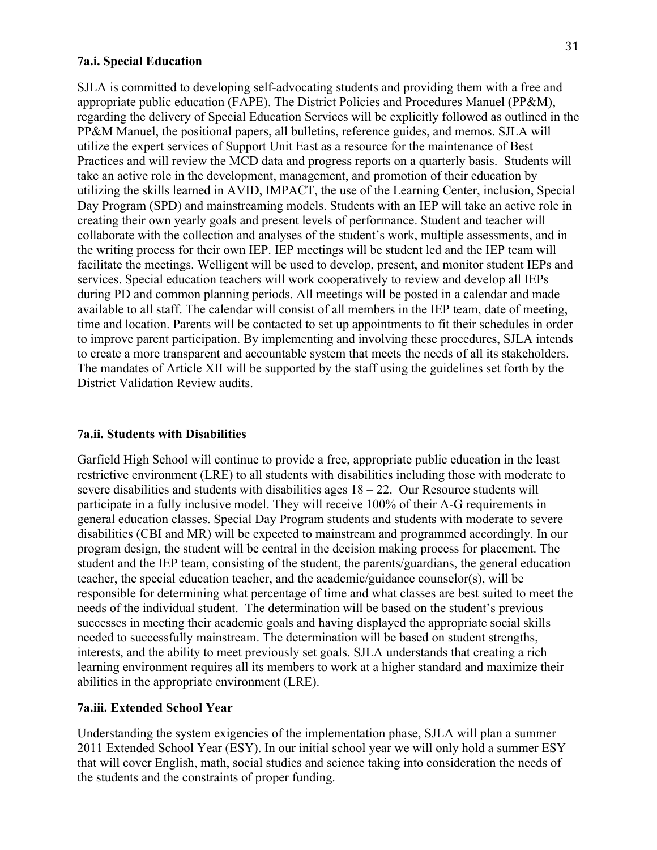#### **7a.i. Special Education**

SJLA is committed to developing self-advocating students and providing them with a free and appropriate public education (FAPE). The District Policies and Procedures Manuel (PP&M), regarding the delivery of Special Education Services will be explicitly followed as outlined in the PP&M Manuel, the positional papers, all bulletins, reference guides, and memos. SJLA will utilize the expert services of Support Unit East as a resource for the maintenance of Best Practices and will review the MCD data and progress reports on a quarterly basis. Students will take an active role in the development, management, and promotion of their education by utilizing the skills learned in AVID, IMPACT, the use of the Learning Center, inclusion, Special Day Program (SPD) and mainstreaming models. Students with an IEP will take an active role in creating their own yearly goals and present levels of performance. Student and teacher will collaborate with the collection and analyses of the student's work, multiple assessments, and in the writing process for their own IEP. IEP meetings will be student led and the IEP team will facilitate the meetings. Welligent will be used to develop, present, and monitor student IEPs and services. Special education teachers will work cooperatively to review and develop all IEPs during PD and common planning periods. All meetings will be posted in a calendar and made available to all staff. The calendar will consist of all members in the IEP team, date of meeting, time and location. Parents will be contacted to set up appointments to fit their schedules in order to improve parent participation. By implementing and involving these procedures, SJLA intends to create a more transparent and accountable system that meets the needs of all its stakeholders. The mandates of Article XII will be supported by the staff using the guidelines set forth by the District Validation Review audits.

#### **7a.ii. Students with Disabilities**

Garfield High School will continue to provide a free, appropriate public education in the least restrictive environment (LRE) to all students with disabilities including those with moderate to severe disabilities and students with disabilities ages  $18 - 22$ . Our Resource students will participate in a fully inclusive model. They will receive 100% of their A-G requirements in general education classes. Special Day Program students and students with moderate to severe disabilities (CBI and MR) will be expected to mainstream and programmed accordingly. In our program design, the student will be central in the decision making process for placement. The student and the IEP team, consisting of the student, the parents/guardians, the general education teacher, the special education teacher, and the academic/guidance counselor(s), will be responsible for determining what percentage of time and what classes are best suited to meet the needs of the individual student. The determination will be based on the student's previous successes in meeting their academic goals and having displayed the appropriate social skills needed to successfully mainstream. The determination will be based on student strengths, interests, and the ability to meet previously set goals. SJLA understands that creating a rich learning environment requires all its members to work at a higher standard and maximize their abilities in the appropriate environment (LRE).

#### **7a.iii. Extended School Year**

Understanding the system exigencies of the implementation phase, SJLA will plan a summer 2011 Extended School Year (ESY). In our initial school year we will only hold a summer ESY that will cover English, math, social studies and science taking into consideration the needs of the students and the constraints of proper funding.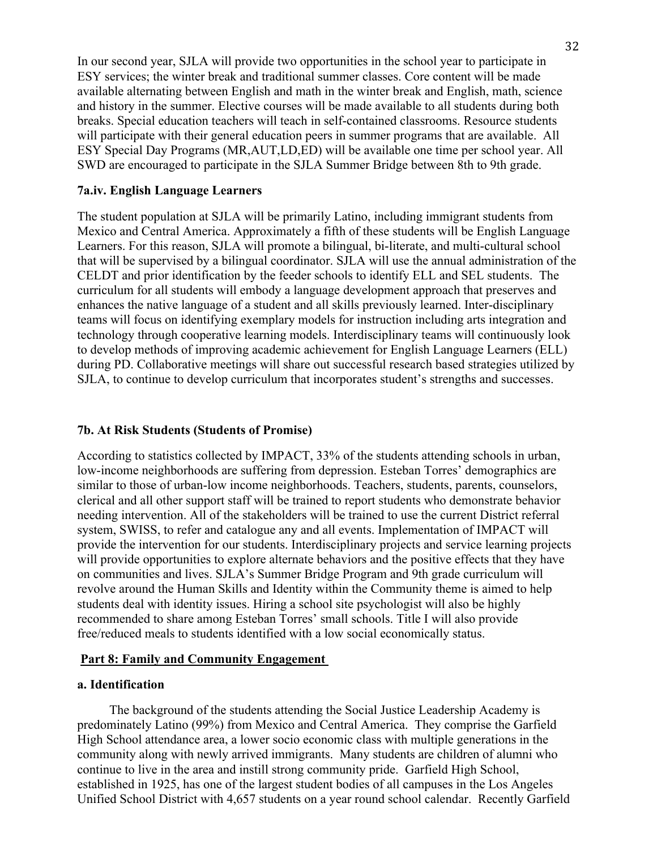In our second year, SJLA will provide two opportunities in the school year to participate in ESY services; the winter break and traditional summer classes. Core content will be made available alternating between English and math in the winter break and English, math, science and history in the summer. Elective courses will be made available to all students during both breaks. Special education teachers will teach in self-contained classrooms. Resource students will participate with their general education peers in summer programs that are available. All ESY Special Day Programs (MR,AUT,LD,ED) will be available one time per school year. All SWD are encouraged to participate in the SJLA Summer Bridge between 8th to 9th grade.

#### **7a.iv. English Language Learners**

The student population at SJLA will be primarily Latino, including immigrant students from Mexico and Central America. Approximately a fifth of these students will be English Language Learners. For this reason, SJLA will promote a bilingual, bi-literate, and multi-cultural school that will be supervised by a bilingual coordinator. SJLA will use the annual administration of the CELDT and prior identification by the feeder schools to identify ELL and SEL students. The curriculum for all students will embody a language development approach that preserves and enhances the native language of a student and all skills previously learned. Inter-disciplinary teams will focus on identifying exemplary models for instruction including arts integration and technology through cooperative learning models. Interdisciplinary teams will continuously look to develop methods of improving academic achievement for English Language Learners (ELL) during PD. Collaborative meetings will share out successful research based strategies utilized by SJLA, to continue to develop curriculum that incorporates student's strengths and successes.

#### **7b. At Risk Students (Students of Promise)**

According to statistics collected by IMPACT, 33% of the students attending schools in urban, low-income neighborhoods are suffering from depression. Esteban Torres' demographics are similar to those of urban-low income neighborhoods. Teachers, students, parents, counselors, clerical and all other support staff will be trained to report students who demonstrate behavior needing intervention. All of the stakeholders will be trained to use the current District referral system, SWISS, to refer and catalogue any and all events. Implementation of IMPACT will provide the intervention for our students. Interdisciplinary projects and service learning projects will provide opportunities to explore alternate behaviors and the positive effects that they have on communities and lives. SJLA's Summer Bridge Program and 9th grade curriculum will revolve around the Human Skills and Identity within the Community theme is aimed to help students deal with identity issues. Hiring a school site psychologist will also be highly recommended to share among Esteban Torres' small schools. Title I will also provide free/reduced meals to students identified with a low social economically status.

#### **Part 8: Family and Community Engagement**

#### **a. Identification**

 The background of the students attending the Social Justice Leadership Academy is predominately Latino (99%) from Mexico and Central America. They comprise the Garfield High School attendance area, a lower socio economic class with multiple generations in the community along with newly arrived immigrants. Many students are children of alumni who continue to live in the area and instill strong community pride. Garfield High School, established in 1925, has one of the largest student bodies of all campuses in the Los Angeles Unified School District with 4,657 students on a year round school calendar. Recently Garfield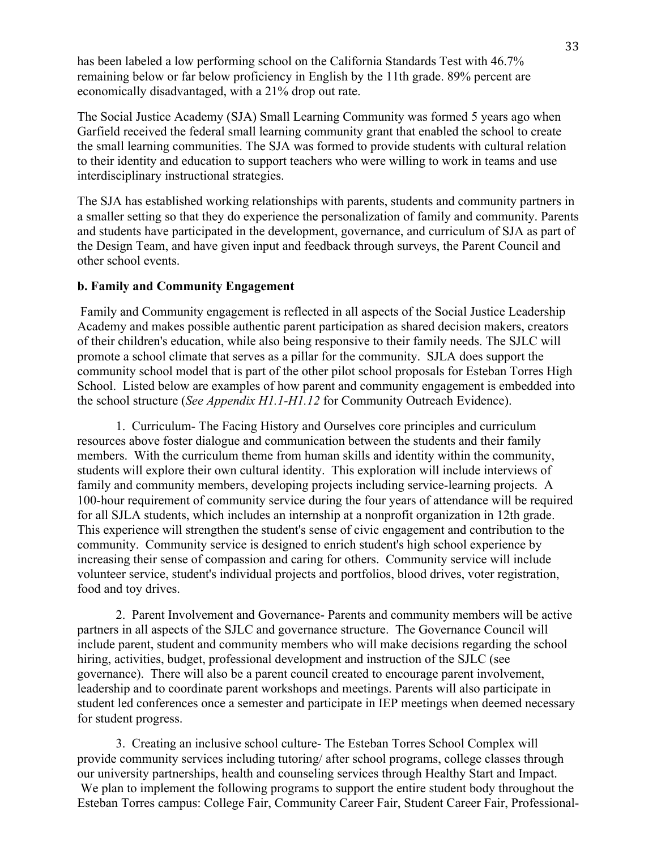has been labeled a low performing school on the California Standards Test with 46.7% remaining below or far below proficiency in English by the 11th grade. 89% percent are economically disadvantaged, with a 21% drop out rate.

The Social Justice Academy (SJA) Small Learning Community was formed 5 years ago when Garfield received the federal small learning community grant that enabled the school to create the small learning communities. The SJA was formed to provide students with cultural relation to their identity and education to support teachers who were willing to work in teams and use interdisciplinary instructional strategies.

The SJA has established working relationships with parents, students and community partners in a smaller setting so that they do experience the personalization of family and community. Parents and students have participated in the development, governance, and curriculum of SJA as part of the Design Team, and have given input and feedback through surveys, the Parent Council and other school events.

#### **b. Family and Community Engagement**

Family and Community engagement is reflected in all aspects of the Social Justice Leadership Academy and makes possible authentic parent participation as shared decision makers, creators of their children's education, while also being responsive to their family needs. The SJLC will promote a school climate that serves as a pillar for the community. SJLA does support the community school model that is part of the other pilot school proposals for Esteban Torres High School. Listed below are examples of how parent and community engagement is embedded into the school structure (*See Appendix H1.1-H1.12* for Community Outreach Evidence).

1. Curriculum- The Facing History and Ourselves core principles and curriculum resources above foster dialogue and communication between the students and their family members. With the curriculum theme from human skills and identity within the community, students will explore their own cultural identity. This exploration will include interviews of family and community members, developing projects including service-learning projects. A 100-hour requirement of community service during the four years of attendance will be required for all SJLA students, which includes an internship at a nonprofit organization in 12th grade. This experience will strengthen the student's sense of civic engagement and contribution to the community. Community service is designed to enrich student's high school experience by increasing their sense of compassion and caring for others. Community service will include volunteer service, student's individual projects and portfolios, blood drives, voter registration, food and toy drives.

2. Parent Involvement and Governance- Parents and community members will be active partners in all aspects of the SJLC and governance structure. The Governance Council will include parent, student and community members who will make decisions regarding the school hiring, activities, budget, professional development and instruction of the SJLC (see governance). There will also be a parent council created to encourage parent involvement, leadership and to coordinate parent workshops and meetings. Parents will also participate in student led conferences once a semester and participate in IEP meetings when deemed necessary for student progress.

3. Creating an inclusive school culture- The Esteban Torres School Complex will provide community services including tutoring/ after school programs, college classes through our university partnerships, health and counseling services through Healthy Start and Impact. We plan to implement the following programs to support the entire student body throughout the Esteban Torres campus: College Fair, Community Career Fair, Student Career Fair, Professional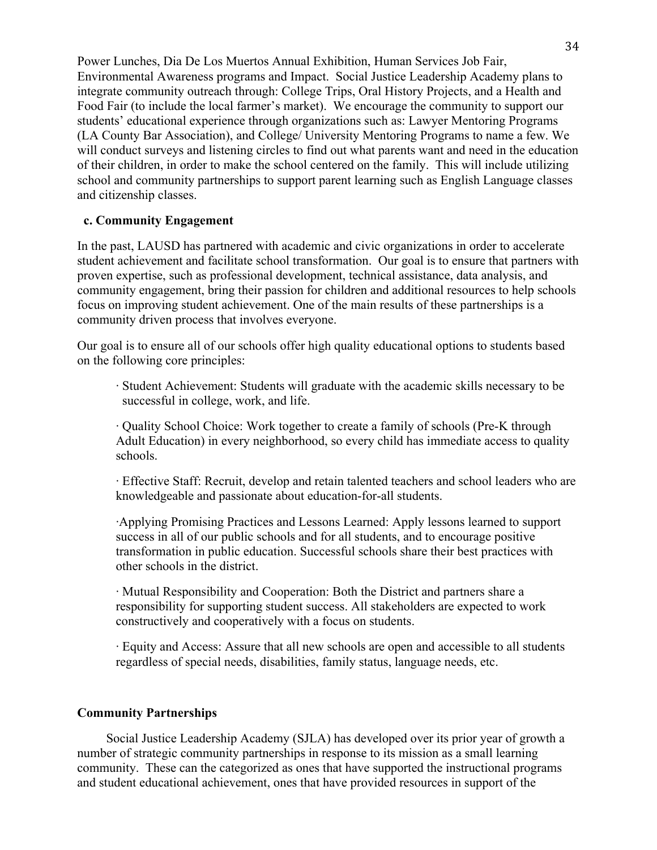Power Lunches, Dia De Los Muertos Annual Exhibition, Human Services Job Fair, Environmental Awareness programs and Impact. Social Justice Leadership Academy plans to integrate community outreach through: College Trips, Oral History Projects, and a Health and Food Fair (to include the local farmer's market). We encourage the community to support our students' educational experience through organizations such as: Lawyer Mentoring Programs (LA County Bar Association), and College/ University Mentoring Programs to name a few. We will conduct surveys and listening circles to find out what parents want and need in the education of their children, in order to make the school centered on the family. This will include utilizing school and community partnerships to support parent learning such as English Language classes and citizenship classes.

#### **c. Community Engagement**

In the past, LAUSD has partnered with academic and civic organizations in order to accelerate student achievement and facilitate school transformation. Our goal is to ensure that partners with proven expertise, such as professional development, technical assistance, data analysis, and community engagement, bring their passion for children and additional resources to help schools focus on improving student achievement. One of the main results of these partnerships is a community driven process that involves everyone.

Our goal is to ensure all of our schools offer high quality educational options to students based on the following core principles:

· Student Achievement: Students will graduate with the academic skills necessary to be successful in college, work, and life.

· Quality School Choice: Work together to create a family of schools (Pre-K through Adult Education) in every neighborhood, so every child has immediate access to quality schools.

· Effective Staff: Recruit, develop and retain talented teachers and school leaders who are knowledgeable and passionate about education-for-all students.

·Applying Promising Practices and Lessons Learned: Apply lessons learned to support success in all of our public schools and for all students, and to encourage positive transformation in public education. Successful schools share their best practices with other schools in the district.

· Mutual Responsibility and Cooperation: Both the District and partners share a responsibility for supporting student success. All stakeholders are expected to work constructively and cooperatively with a focus on students.

· Equity and Access: Assure that all new schools are open and accessible to all students regardless of special needs, disabilities, family status, language needs, etc.

#### **Community Partnerships**

 Social Justice Leadership Academy (SJLA) has developed over its prior year of growth a number of strategic community partnerships in response to its mission as a small learning community. These can the categorized as ones that have supported the instructional programs and student educational achievement, ones that have provided resources in support of the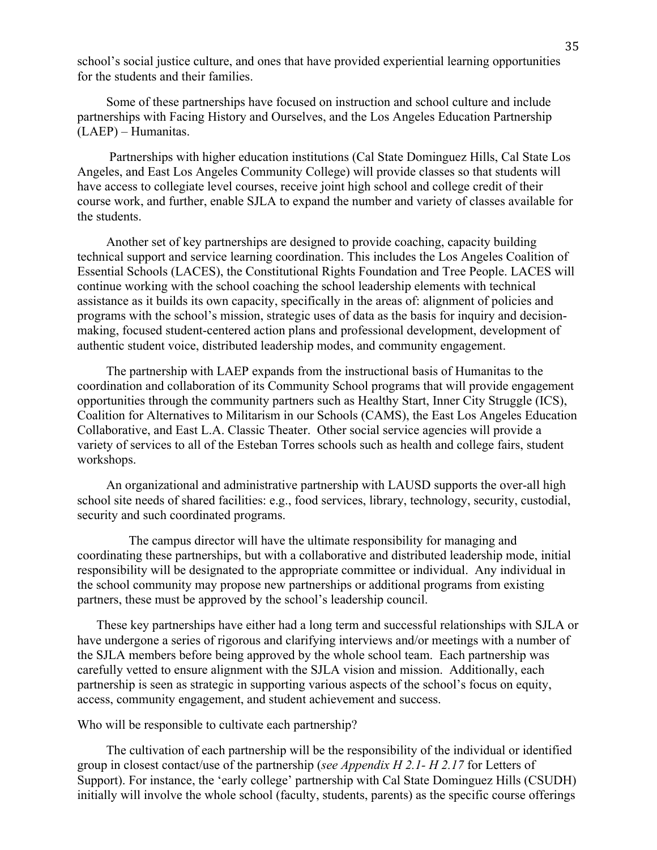school's social justice culture, and ones that have provided experiential learning opportunities for the students and their families.

 Some of these partnerships have focused on instruction and school culture and include partnerships with Facing History and Ourselves, and the Los Angeles Education Partnership (LAEP) – Humanitas.

 Partnerships with higher education institutions (Cal State Dominguez Hills, Cal State Los Angeles, and East Los Angeles Community College) will provide classes so that students will have access to collegiate level courses, receive joint high school and college credit of their course work, and further, enable SJLA to expand the number and variety of classes available for the students.

 Another set of key partnerships are designed to provide coaching, capacity building technical support and service learning coordination. This includes the Los Angeles Coalition of Essential Schools (LACES), the Constitutional Rights Foundation and Tree People. LACES will continue working with the school coaching the school leadership elements with technical assistance as it builds its own capacity, specifically in the areas of: alignment of policies and programs with the school's mission, strategic uses of data as the basis for inquiry and decisionmaking, focused student-centered action plans and professional development, development of authentic student voice, distributed leadership modes, and community engagement.

 The partnership with LAEP expands from the instructional basis of Humanitas to the coordination and collaboration of its Community School programs that will provide engagement opportunities through the community partners such as Healthy Start, Inner City Struggle (ICS), Coalition for Alternatives to Militarism in our Schools (CAMS), the East Los Angeles Education Collaborative, and East L.A. Classic Theater. Other social service agencies will provide a variety of services to all of the Esteban Torres schools such as health and college fairs, student workshops.

 An organizational and administrative partnership with LAUSD supports the over-all high school site needs of shared facilities: e.g., food services, library, technology, security, custodial, security and such coordinated programs.

 The campus director will have the ultimate responsibility for managing and coordinating these partnerships, but with a collaborative and distributed leadership mode, initial responsibility will be designated to the appropriate committee or individual. Any individual in the school community may propose new partnerships or additional programs from existing partners, these must be approved by the school's leadership council.

 These key partnerships have either had a long term and successful relationships with SJLA or have undergone a series of rigorous and clarifying interviews and/or meetings with a number of the SJLA members before being approved by the whole school team. Each partnership was carefully vetted to ensure alignment with the SJLA vision and mission. Additionally, each partnership is seen as strategic in supporting various aspects of the school's focus on equity, access, community engagement, and student achievement and success.

Who will be responsible to cultivate each partnership?

 The cultivation of each partnership will be the responsibility of the individual or identified group in closest contact/use of the partnership (*see Appendix H 2.1- H 2.17* for Letters of Support). For instance, the 'early college' partnership with Cal State Dominguez Hills (CSUDH) initially will involve the whole school (faculty, students, parents) as the specific course offerings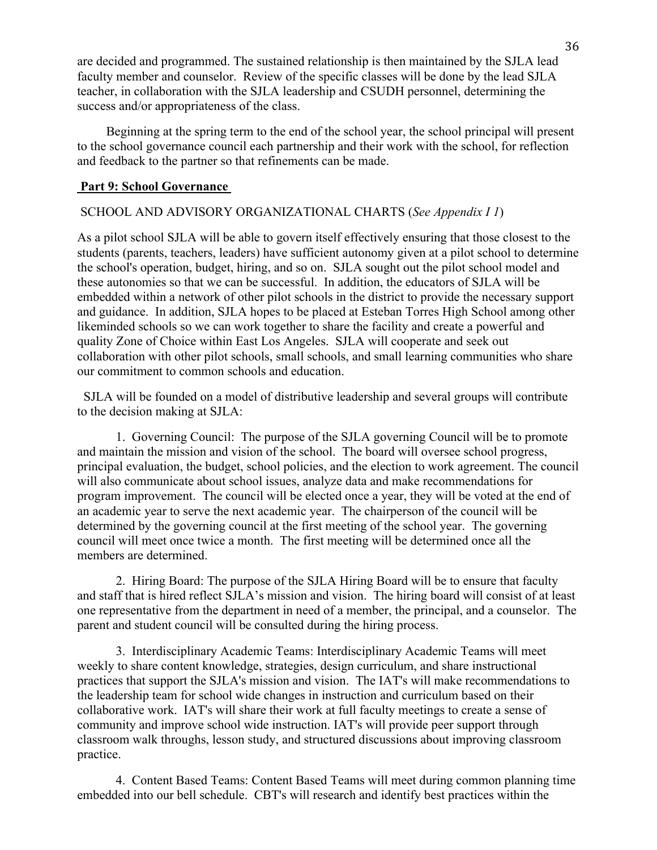are decided and programmed. The sustained relationship is then maintained by the SJLA lead faculty member and counselor. Review of the specific classes will be done by the lead SJLA teacher, in collaboration with the SJLA leadership and CSUDH personnel, determining the success and/or appropriateness of the class.

 Beginning at the spring term to the end of the school year, the school principal will present to the school governance council each partnership and their work with the school, for reflection and feedback to the partner so that refinements can be made.

#### **Part 9: School Governance**

#### SCHOOL AND ADVISORY ORGANIZATIONAL CHARTS (*See Appendix I 1*)

As a pilot school SJLA will be able to govern itself effectively ensuring that those closest to the students (parents, teachers, leaders) have sufficient autonomy given at a pilot school to determine the school's operation, budget, hiring, and so on. SJLA sought out the pilot school model and these autonomies so that we can be successful. In addition, the educators of SJLA will be embedded within a network of other pilot schools in the district to provide the necessary support and guidance. In addition, SJLA hopes to be placed at Esteban Torres High School among other likeminded schools so we can work together to share the facility and create a powerful and quality Zone of Choice within East Los Angeles. SJLA will cooperate and seek out collaboration with other pilot schools, small schools, and small learning communities who share our commitment to common schools and education.

 SJLA will be founded on a model of distributive leadership and several groups will contribute to the decision making at SJLA:

1. Governing Council: The purpose of the SJLA governing Council will be to promote and maintain the mission and vision of the school. The board will oversee school progress, principal evaluation, the budget, school policies, and the election to work agreement. The council will also communicate about school issues, analyze data and make recommendations for program improvement. The council will be elected once a year, they will be voted at the end of an academic year to serve the next academic year. The chairperson of the council will be determined by the governing council at the first meeting of the school year. The governing council will meet once twice a month. The first meeting will be determined once all the members are determined.

2. Hiring Board: The purpose of the SJLA Hiring Board will be to ensure that faculty and staff that is hired reflect SJLA's mission and vision. The hiring board will consist of at least one representative from the department in need of a member, the principal, and a counselor. The parent and student council will be consulted during the hiring process.

3. Interdisciplinary Academic Teams: Interdisciplinary Academic Teams will meet weekly to share content knowledge, strategies, design curriculum, and share instructional practices that support the SJLA's mission and vision. The IAT's will make recommendations to the leadership team for school wide changes in instruction and curriculum based on their collaborative work. IAT's will share their work at full faculty meetings to create a sense of community and improve school wide instruction. IAT's will provide peer support through classroom walk throughs, lesson study, and structured discussions about improving classroom practice.

4. Content Based Teams: Content Based Teams will meet during common planning time embedded into our bell schedule. CBT's will research and identify best practices within the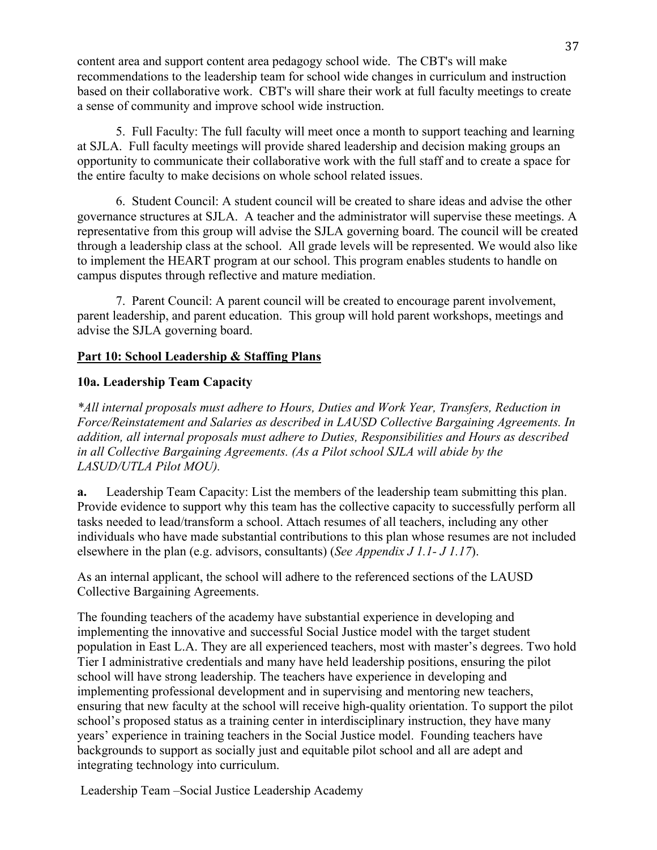content area and support content area pedagogy school wide. The CBT's will make recommendations to the leadership team for school wide changes in curriculum and instruction based on their collaborative work. CBT's will share their work at full faculty meetings to create a sense of community and improve school wide instruction.

5. Full Faculty: The full faculty will meet once a month to support teaching and learning at SJLA. Full faculty meetings will provide shared leadership and decision making groups an opportunity to communicate their collaborative work with the full staff and to create a space for the entire faculty to make decisions on whole school related issues.

6. Student Council: A student council will be created to share ideas and advise the other governance structures at SJLA. A teacher and the administrator will supervise these meetings. A representative from this group will advise the SJLA governing board. The council will be created through a leadership class at the school. All grade levels will be represented. We would also like to implement the HEART program at our school. This program enables students to handle on campus disputes through reflective and mature mediation.

7. Parent Council: A parent council will be created to encourage parent involvement, parent leadership, and parent education. This group will hold parent workshops, meetings and advise the SJLA governing board.

# **Part 10: School Leadership & Staffing Plans**

# **10a. Leadership Team Capacity**

*\*All internal proposals must adhere to Hours, Duties and Work Year, Transfers, Reduction in Force/Reinstatement and Salaries as described in LAUSD Collective Bargaining Agreements. In addition, all internal proposals must adhere to Duties, Responsibilities and Hours as described in all Collective Bargaining Agreements. (As a Pilot school SJLA will abide by the LASUD/UTLA Pilot MOU).*

**a.** Leadership Team Capacity: List the members of the leadership team submitting this plan. Provide evidence to support why this team has the collective capacity to successfully perform all tasks needed to lead/transform a school. Attach resumes of all teachers, including any other individuals who have made substantial contributions to this plan whose resumes are not included elsewhere in the plan (e.g. advisors, consultants) (*See Appendix J 1.1- J 1.17*).

As an internal applicant, the school will adhere to the referenced sections of the LAUSD Collective Bargaining Agreements.

The founding teachers of the academy have substantial experience in developing and implementing the innovative and successful Social Justice model with the target student population in East L.A. They are all experienced teachers, most with master's degrees. Two hold Tier I administrative credentials and many have held leadership positions, ensuring the pilot school will have strong leadership. The teachers have experience in developing and implementing professional development and in supervising and mentoring new teachers, ensuring that new faculty at the school will receive high-quality orientation. To support the pilot school's proposed status as a training center in interdisciplinary instruction, they have many years' experience in training teachers in the Social Justice model. Founding teachers have backgrounds to support as socially just and equitable pilot school and all are adept and integrating technology into curriculum.

Leadership Team –Social Justice Leadership Academy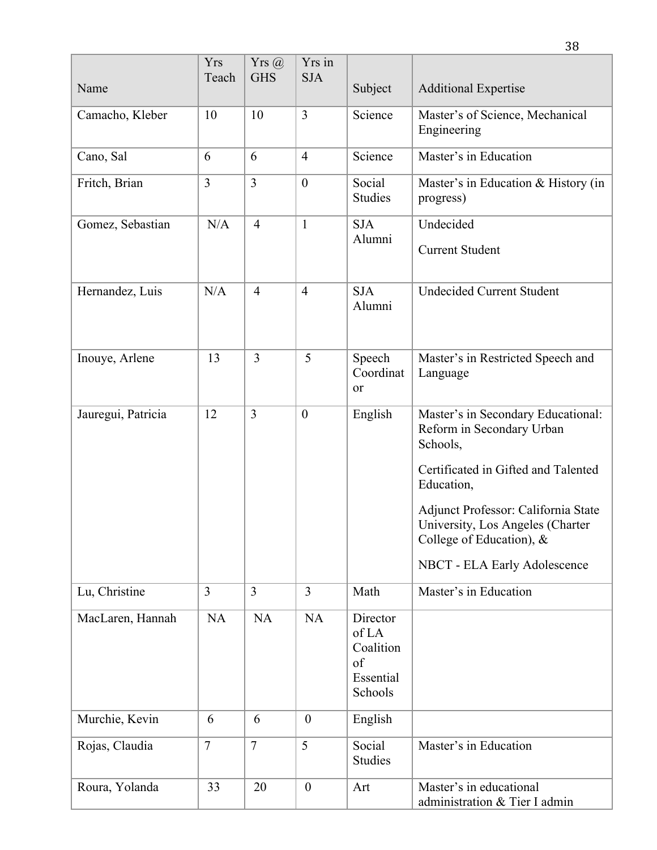|                    | <b>Yrs</b><br>Teach | $Yrs$ $@$<br><b>GHS</b> | Yrs in<br><b>SJA</b> |                                                              |                                                                                                                                                                                                                                                                            |
|--------------------|---------------------|-------------------------|----------------------|--------------------------------------------------------------|----------------------------------------------------------------------------------------------------------------------------------------------------------------------------------------------------------------------------------------------------------------------------|
| Name               |                     |                         |                      | Subject                                                      | <b>Additional Expertise</b>                                                                                                                                                                                                                                                |
| Camacho, Kleber    | 10                  | 10                      | $\overline{3}$       | Science                                                      | Master's of Science, Mechanical<br>Engineering                                                                                                                                                                                                                             |
| Cano, Sal          | 6                   | 6                       | $\overline{4}$       | Science                                                      | Master's in Education                                                                                                                                                                                                                                                      |
| Fritch, Brian      | $\overline{3}$      | 3                       | $\overline{0}$       | Social<br><b>Studies</b>                                     | Master's in Education & History (in<br>progress)                                                                                                                                                                                                                           |
| Gomez, Sebastian   | N/A                 | $\overline{4}$          | $\mathbf{1}$         | <b>SJA</b><br>Alumni                                         | Undecided<br><b>Current Student</b>                                                                                                                                                                                                                                        |
| Hernandez, Luis    | N/A                 | $\overline{4}$          | $\overline{4}$       | <b>SJA</b><br>Alumni                                         | <b>Undecided Current Student</b>                                                                                                                                                                                                                                           |
| Inouye, Arlene     | 13                  | $\overline{3}$          | 5                    | Speech<br>Coordinat<br>or                                    | Master's in Restricted Speech and<br>Language                                                                                                                                                                                                                              |
| Jauregui, Patricia | 12                  | 3                       | $\boldsymbol{0}$     | English                                                      | Master's in Secondary Educational:<br>Reform in Secondary Urban<br>Schools,<br>Certificated in Gifted and Talented<br>Education,<br>Adjunct Professor: California State<br>University, Los Angeles (Charter<br>College of Education), $\&$<br>NBCT - ELA Early Adolescence |
| Lu, Christine      | $\overline{3}$      | $\overline{3}$          | $\overline{3}$       | Math                                                         | Master's in Education                                                                                                                                                                                                                                                      |
| MacLaren, Hannah   | <b>NA</b>           | <b>NA</b>               | <b>NA</b>            | Director<br>of LA<br>Coalition<br>of<br>Essential<br>Schools |                                                                                                                                                                                                                                                                            |
| Murchie, Kevin     | 6                   | 6                       | $\boldsymbol{0}$     | English                                                      |                                                                                                                                                                                                                                                                            |
| Rojas, Claudia     | $\overline{7}$      | $\overline{7}$          | 5                    | Social<br>Studies                                            | Master's in Education                                                                                                                                                                                                                                                      |
| Roura, Yolanda     | 33                  | 20                      | $\boldsymbol{0}$     | Art                                                          | Master's in educational<br>administration & Tier I admin                                                                                                                                                                                                                   |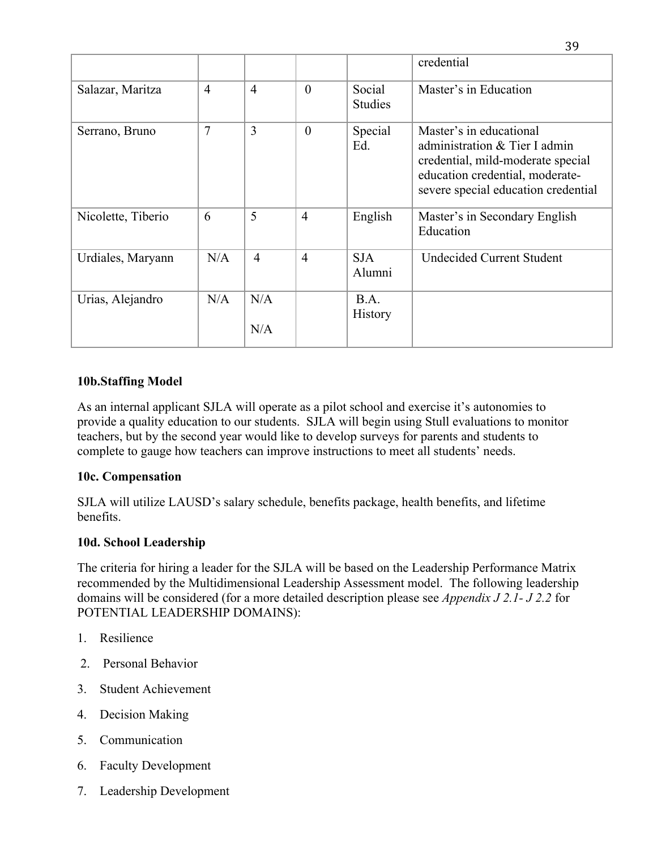|                    |                |                |                |                          | credential                                                                                                                                                              |
|--------------------|----------------|----------------|----------------|--------------------------|-------------------------------------------------------------------------------------------------------------------------------------------------------------------------|
| Salazar, Maritza   | $\overline{4}$ | $\overline{4}$ | $\theta$       | Social<br><b>Studies</b> | Master's in Education                                                                                                                                                   |
| Serrano, Bruno     | $\overline{7}$ | 3              | $\theta$       | Special<br>Ed.           | Master's in educational<br>administration & Tier I admin<br>credential, mild-moderate special<br>education credential, moderate-<br>severe special education credential |
| Nicolette, Tiberio | 6              | 5              | $\overline{4}$ | English                  | Master's in Secondary English<br>Education                                                                                                                              |
| Urdiales, Maryann  | N/A            | $\overline{4}$ | $\overline{4}$ | <b>SJA</b><br>Alumni     | <b>Undecided Current Student</b>                                                                                                                                        |
| Urias, Alejandro   | N/A            | N/A<br>N/A     |                | B.A.<br><b>History</b>   |                                                                                                                                                                         |

# **10b.Staffing Model**

As an internal applicant SJLA will operate as a pilot school and exercise it's autonomies to provide a quality education to our students. SJLA will begin using Stull evaluations to monitor teachers, but by the second year would like to develop surveys for parents and students to complete to gauge how teachers can improve instructions to meet all students' needs.

# **10c. Compensation**

SJLA will utilize LAUSD's salary schedule, benefits package, health benefits, and lifetime benefits.

# **10d. School Leadership**

The criteria for hiring a leader for the SJLA will be based on the Leadership Performance Matrix recommended by the Multidimensional Leadership Assessment model. The following leadership domains will be considered (for a more detailed description please see *Appendix J 2.1- J 2.2* for POTENTIAL LEADERSHIP DOMAINS):

- 1. Resilience
- 2. Personal Behavior
- 3. Student Achievement
- 4. Decision Making
- 5. Communication
- 6. Faculty Development
- 7. Leadership Development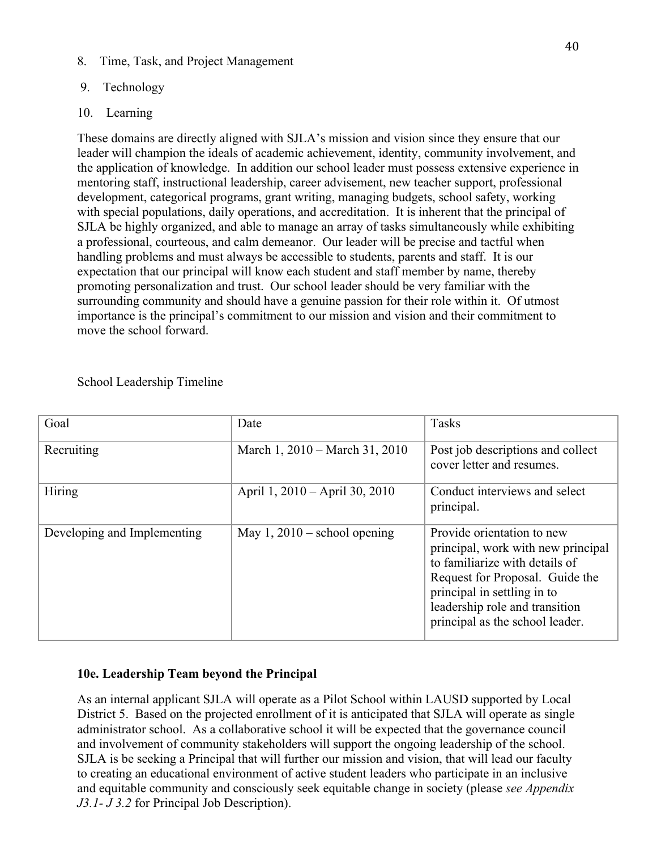8. Time, Task, and Project Management

# 9. Technology

# 10. Learning

These domains are directly aligned with SJLA's mission and vision since they ensure that our leader will champion the ideals of academic achievement, identity, community involvement, and the application of knowledge. In addition our school leader must possess extensive experience in mentoring staff, instructional leadership, career advisement, new teacher support, professional development, categorical programs, grant writing, managing budgets, school safety, working with special populations, daily operations, and accreditation. It is inherent that the principal of SJLA be highly organized, and able to manage an array of tasks simultaneously while exhibiting a professional, courteous, and calm demeanor. Our leader will be precise and tactful when handling problems and must always be accessible to students, parents and staff. It is our expectation that our principal will know each student and staff member by name, thereby promoting personalization and trust. Our school leader should be very familiar with the surrounding community and should have a genuine passion for their role within it. Of utmost importance is the principal's commitment to our mission and vision and their commitment to move the school forward.

| Goal                        | Date                           | <b>Tasks</b>                                                                                                                                                                                                                              |
|-----------------------------|--------------------------------|-------------------------------------------------------------------------------------------------------------------------------------------------------------------------------------------------------------------------------------------|
| Recruiting                  | March 1, 2010 – March 31, 2010 | Post job descriptions and collect<br>cover letter and resumes.                                                                                                                                                                            |
| <b>Hiring</b>               | April 1, 2010 – April 30, 2010 | Conduct interviews and select<br>principal.                                                                                                                                                                                               |
| Developing and Implementing | May 1, $2010$ – school opening | Provide orientation to new<br>principal, work with new principal<br>to familiarize with details of<br>Request for Proposal. Guide the<br>principal in settling in to<br>leadership role and transition<br>principal as the school leader. |

School Leadership Timeline

# **10e. Leadership Team beyond the Principal**

As an internal applicant SJLA will operate as a Pilot School within LAUSD supported by Local District 5. Based on the projected enrollment of it is anticipated that SJLA will operate as single administrator school. As a collaborative school it will be expected that the governance council and involvement of community stakeholders will support the ongoing leadership of the school. SJLA is be seeking a Principal that will further our mission and vision, that will lead our faculty to creating an educational environment of active student leaders who participate in an inclusive and equitable community and consciously seek equitable change in society (please *see Appendix J3.1- J 3.2* for Principal Job Description).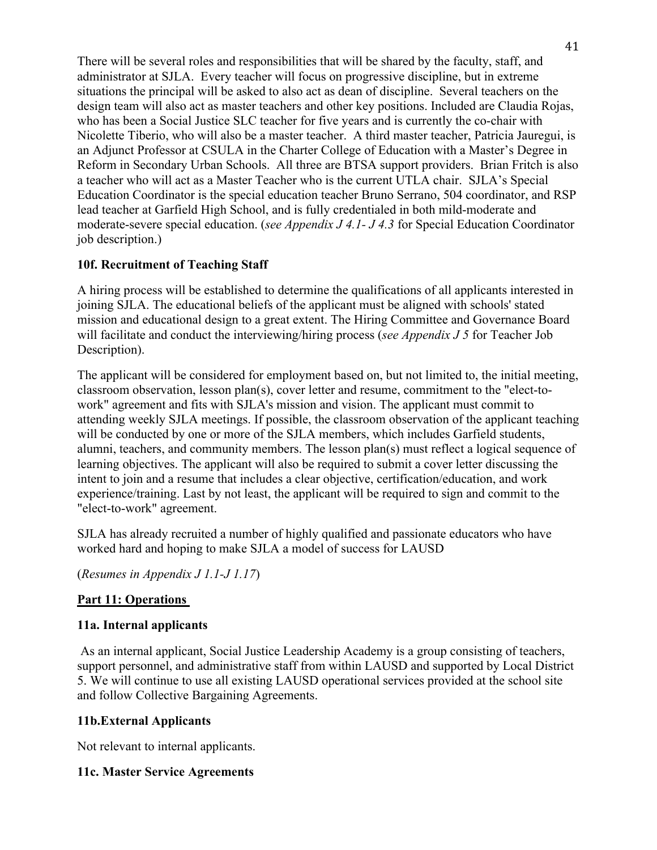There will be several roles and responsibilities that will be shared by the faculty, staff, and administrator at SJLA. Every teacher will focus on progressive discipline, but in extreme situations the principal will be asked to also act as dean of discipline. Several teachers on the design team will also act as master teachers and other key positions. Included are Claudia Rojas, who has been a Social Justice SLC teacher for five years and is currently the co-chair with Nicolette Tiberio, who will also be a master teacher. A third master teacher, Patricia Jauregui, is an Adjunct Professor at CSULA in the Charter College of Education with a Master's Degree in Reform in Secondary Urban Schools. All three are BTSA support providers. Brian Fritch is also a teacher who will act as a Master Teacher who is the current UTLA chair. SJLA's Special Education Coordinator is the special education teacher Bruno Serrano, 504 coordinator, and RSP lead teacher at Garfield High School, and is fully credentialed in both mild-moderate and moderate-severe special education. (*see Appendix J 4.1- J 4.3* for Special Education Coordinator job description.)

# **10f. Recruitment of Teaching Staff**

A hiring process will be established to determine the qualifications of all applicants interested in joining SJLA. The educational beliefs of the applicant must be aligned with schools' stated mission and educational design to a great extent. The Hiring Committee and Governance Board will facilitate and conduct the interviewing/hiring process (*see Appendix J 5* for Teacher Job Description).

The applicant will be considered for employment based on, but not limited to, the initial meeting, classroom observation, lesson plan(s), cover letter and resume, commitment to the "elect-towork" agreement and fits with SJLA's mission and vision. The applicant must commit to attending weekly SJLA meetings. If possible, the classroom observation of the applicant teaching will be conducted by one or more of the SJLA members, which includes Garfield students, alumni, teachers, and community members. The lesson plan(s) must reflect a logical sequence of learning objectives. The applicant will also be required to submit a cover letter discussing the intent to join and a resume that includes a clear objective, certification/education, and work experience/training. Last by not least, the applicant will be required to sign and commit to the "elect-to-work" agreement.

SJLA has already recruited a number of highly qualified and passionate educators who have worked hard and hoping to make SJLA a model of success for LAUSD

(*Resumes in Appendix J 1.1-J 1.17*)

# **Part 11: Operations**

#### **11a. Internal applicants**

As an internal applicant, Social Justice Leadership Academy is a group consisting of teachers, support personnel, and administrative staff from within LAUSD and supported by Local District 5. We will continue to use all existing LAUSD operational services provided at the school site and follow Collective Bargaining Agreements.

# **11b.External Applicants**

Not relevant to internal applicants.

# **11c. Master Service Agreements**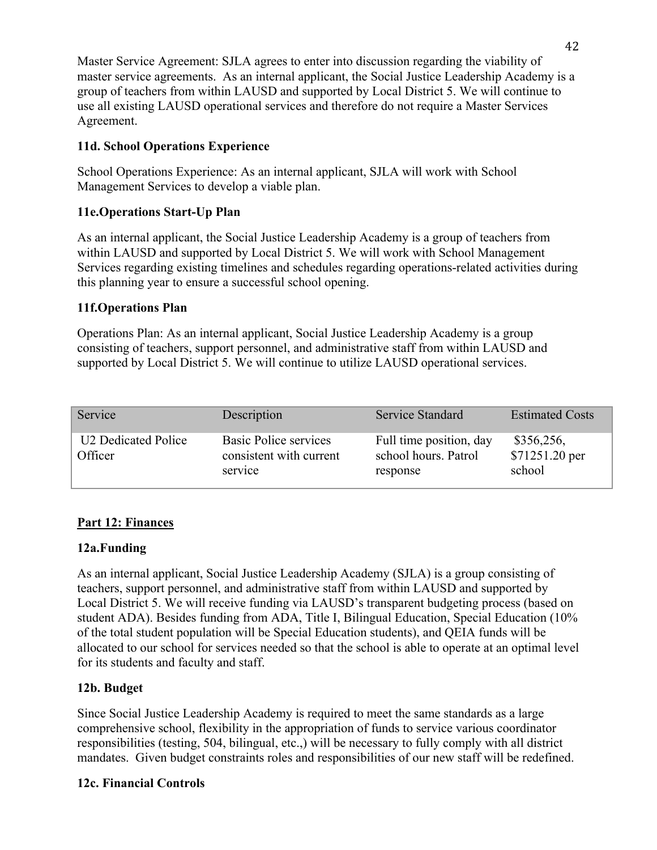Master Service Agreement: SJLA agrees to enter into discussion regarding the viability of master service agreements. As an internal applicant, the Social Justice Leadership Academy is a group of teachers from within LAUSD and supported by Local District 5. We will continue to use all existing LAUSD operational services and therefore do not require a Master Services Agreement.

# **11d. School Operations Experience**

School Operations Experience: As an internal applicant, SJLA will work with School Management Services to develop a viable plan.

# **11e.Operations Start-Up Plan**

As an internal applicant, the Social Justice Leadership Academy is a group of teachers from within LAUSD and supported by Local District 5. We will work with School Management Services regarding existing timelines and schedules regarding operations-related activities during this planning year to ensure a successful school opening.

# **11f.Operations Plan**

Operations Plan: As an internal applicant, Social Justice Leadership Academy is a group consisting of teachers, support personnel, and administrative staff from within LAUSD and supported by Local District 5. We will continue to utilize LAUSD operational services.

| Service                                    | Description                                                        | <b>Service Standard</b>                                     | <b>Estimated Costs</b>                 |
|--------------------------------------------|--------------------------------------------------------------------|-------------------------------------------------------------|----------------------------------------|
| U <sub>2</sub> Dedicated Police<br>Officer | <b>Basic Police services</b><br>consistent with current<br>service | Full time position, day<br>school hours. Patrol<br>response | \$356,256,<br>\$71251.20 per<br>school |

# **Part 12: Finances**

# **12a.Funding**

As an internal applicant, Social Justice Leadership Academy (SJLA) is a group consisting of teachers, support personnel, and administrative staff from within LAUSD and supported by Local District 5. We will receive funding via LAUSD's transparent budgeting process (based on student ADA). Besides funding from ADA, Title I, Bilingual Education, Special Education (10% of the total student population will be Special Education students), and QEIA funds will be allocated to our school for services needed so that the school is able to operate at an optimal level for its students and faculty and staff.

# **12b. Budget**

Since Social Justice Leadership Academy is required to meet the same standards as a large comprehensive school, flexibility in the appropriation of funds to service various coordinator responsibilities (testing, 504, bilingual, etc.,) will be necessary to fully comply with all district mandates. Given budget constraints roles and responsibilities of our new staff will be redefined.

# **12c. Financial Controls**